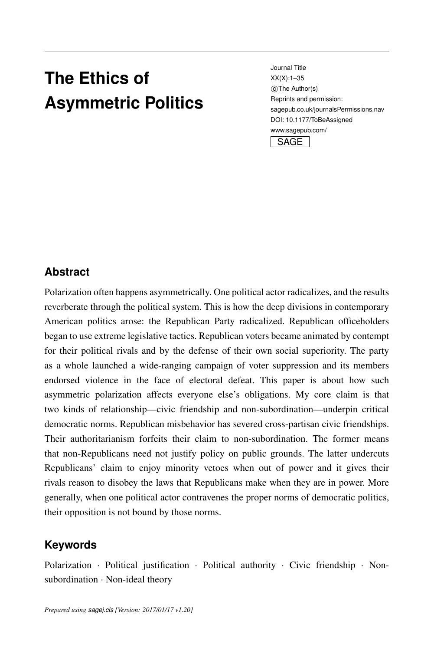# <span id="page-0-0"></span>**The Ethics of Asymmetric Politics**

Journal Title XX(X)[:1](#page-0-0)[–35](#page-26-0) c The Author(s) Reprints and permission: sagepub.co.uk/journalsPermissions.nav DOI: 10.1177/ToBeAssigned www.sagepub.com/ **SAGE** 

## **Abstract**

Polarization often happens asymmetrically. One political actor radicalizes, and the results reverberate through the political system. This is how the deep divisions in contemporary American politics arose: the Republican Party radicalized. Republican officeholders began to use extreme legislative tactics. Republican voters became animated by contempt for their political rivals and by the defense of their own social superiority. The party as a whole launched a wide-ranging campaign of voter suppression and its members endorsed violence in the face of electoral defeat. This paper is about how such asymmetric polarization affects everyone else's obligations. My core claim is that two kinds of relationship—civic friendship and non-subordination—underpin critical democratic norms. Republican misbehavior has severed cross-partisan civic friendships. Their authoritarianism forfeits their claim to non-subordination. The former means that non-Republicans need not justify policy on public grounds. The latter undercuts Republicans' claim to enjoy minority vetoes when out of power and it gives their rivals reason to disobey the laws that Republicans make when they are in power. More generally, when one political actor contravenes the proper norms of democratic politics, their opposition is not bound by those norms.

# **Keywords**

Polarization · Political justification · Political authority · Civic friendship · Nonsubordination · Non-ideal theory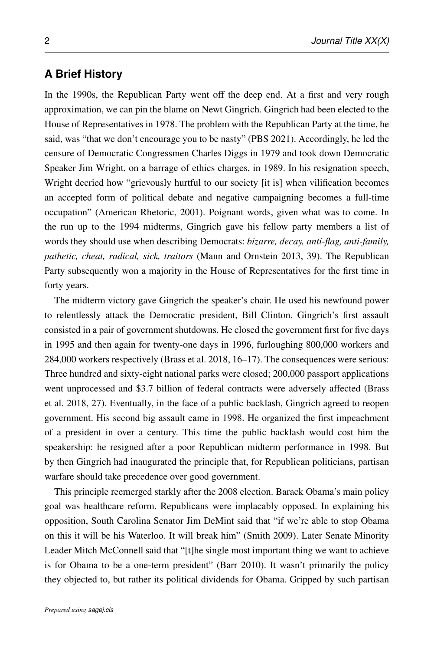## **A Brief History**

In the 1990s, the Republican Party went off the deep end. At a first and very rough approximation, we can pin the blame on Newt Gingrich. Gingrich had been elected to the House of Representatives in 1978. The problem with the Republican Party at the time, he said, was "that we don't encourage you to be nasty" [\(PBS 2021\)](#page-33-0). Accordingly, he led the censure of Democratic Congressmen Charles Diggs in 1979 and took down Democratic Speaker Jim Wright, on a barrage of ethics charges, in 1989. In his resignation speech, Wright decried how "grievously hurtful to our society [it is] when vilification becomes an accepted form of political debate and negative campaigning becomes a full-time occupation" (American Rhetoric, [2001\)](#page-33-1). Poignant words, given what was to come. In the run up to the 1994 midterms, Gingrich gave his fellow party members a list of words they should use when describing Democrats: *bizarre, decay, anti-flag, anti-family, pathetic, cheat, radical, sick, traitors* [\(Mann and Ornstein 2013,](#page-32-0) 39). The Republican Party subsequently won a majority in the House of Representatives for the first time in forty years.

The midterm victory gave Gingrich the speaker's chair. He used his newfound power to relentlessly attack the Democratic president, Bill Clinton. Gingrich's first assault consisted in a pair of government shutdowns. He closed the government first for five days in 1995 and then again for twenty-one days in 1996, furloughing 800,000 workers and 284,000 workers respectively [\(Brass et al. 2018,](#page-29-0) 16–17). The consequences were serious: Three hundred and sixty-eight national parks were closed; 200,000 passport applications went unprocessed and \$3.7 billion of federal contracts were adversely affected [\(Brass](#page-29-0) [et al. 2018,](#page-29-0) 27). Eventually, in the face of a public backlash, Gingrich agreed to reopen government. His second big assault came in 1998. He organized the first impeachment of a president in over a century. This time the public backlash would cost him the speakership: he resigned after a poor Republican midterm performance in 1998. But by then Gingrich had inaugurated the principle that, for Republican politicians, partisan warfare should take precedence over good government.

This principle reemerged starkly after the 2008 election. Barack Obama's main policy goal was healthcare reform. Republicans were implacably opposed. In explaining his opposition, South Carolina Senator Jim DeMint said that "if we're able to stop Obama on this it will be his Waterloo. It will break him" [\(Smith 2009\)](#page-34-0). Later Senate Minority Leader Mitch McConnell said that "[t]he single most important thing we want to achieve is for Obama to be a one-term president" [\(Barr 2010\)](#page-29-1). It wasn't primarily the policy they objected to, but rather its political dividends for Obama. Gripped by such partisan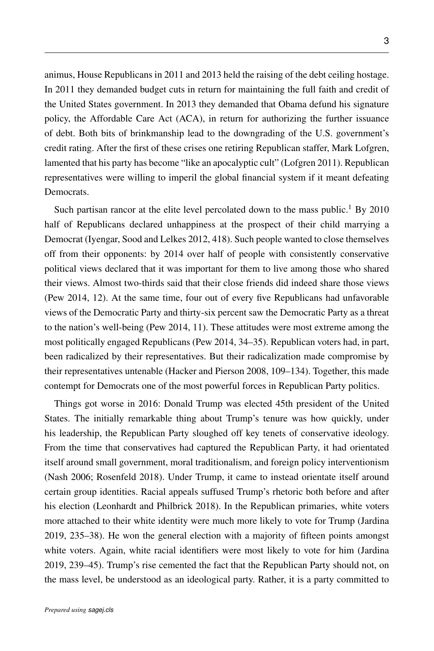animus, House Republicans in 2011 and 2013 held the raising of the debt ceiling hostage. In 2011 they demanded budget cuts in return for maintaining the full faith and credit of the United States government. In 2013 they demanded that Obama defund his signature policy, the Affordable Care Act (ACA), in return for authorizing the further issuance of debt. Both bits of brinkmanship lead to the downgrading of the U.S. government's credit rating. After the first of these crises one retiring Republican staffer, Mark Lofgren, lamented that his party has become "like an apocalyptic cult" [\(Lofgren 2011\)](#page-32-1). Republican representatives were willing to imperil the global financial system if it meant defeating **Democrats** 

Such partisan rancor at the elite level percolated down to the mass public.<sup>1</sup> By 2010 half of Republicans declared unhappiness at the prospect of their child marrying a Democrat [\(Iyengar, Sood and Lelkes 2012,](#page-31-0) 418). Such people wanted to close themselves off from their opponents: by 2014 over half of people with consistently conservative political views declared that it was important for them to live among those who shared their views. Almost two-thirds said that their close friends did indeed share those views [\(Pew 2014,](#page-33-2) 12). At the same time, four out of every five Republicans had unfavorable views of the Democratic Party and thirty-six percent saw the Democratic Party as a threat to the nation's well-being [\(Pew 2014,](#page-33-2) 11). These attitudes were most extreme among the most politically engaged Republicans [\(Pew 2014,](#page-33-2) 34–35). Republican voters had, in part, been radicalized by their representatives. But their radicalization made compromise by their representatives untenable [\(Hacker and Pierson 2008,](#page-30-0) 109–134). Together, this made contempt for Democrats one of the most powerful forces in Republican Party politics.

Things got worse in 2016: Donald Trump was elected 45th president of the United States. The initially remarkable thing about Trump's tenure was how quickly, under his leadership, the Republican Party sloughed off key tenets of conservative ideology. From the time that conservatives had captured the Republican Party, it had orientated itself around small government, moral traditionalism, and foreign policy interventionism [\(Nash](#page-33-3) 2006; [Rosenfeld](#page-34-1) 2018). Under Trump, it came to instead orientate itself around certain group identities. Racial appeals suffused Trump's rhetoric both before and after his election [\(Leonhardt and Philbrick 2018\)](#page-32-2). In the Republican primaries, white voters more attached to their white identity were much more likely to vote for Trump [\(Jardina](#page-31-1) [2019,](#page-31-1) 235–38). He won the general election with a majority of fifteen points amongst white voters. Again, white racial identifiers were most likely to vote for him [\(Jardina](#page-31-1) [2019,](#page-31-1) 239–45). Trump's rise cemented the fact that the Republican Party should not, on the mass level, be understood as an ideological party. Rather, it is a party committed to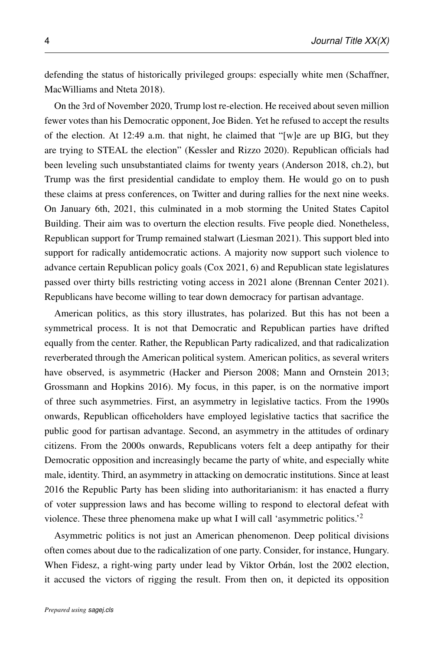defending the status of historically privileged groups: especially white men [\(Schaffner,](#page-34-2) [MacWilliams and Nteta 2018\)](#page-34-2).

On the 3rd of November 2020, Trump lost re-election. He received about seven million fewer votes than his Democratic opponent, Joe Biden. Yet he refused to accept the results of the election. At 12:49 a.m. that night, he claimed that "[w]e are up BIG, but they are trying to STEAL the election" [\(Kessler and Rizzo 2020\)](#page-31-2). Republican officials had been leveling such unsubstantiated claims for twenty years [\(Anderson 2018,](#page-29-2) ch.2), but Trump was the first presidential candidate to employ them. He would go on to push these claims at press conferences, on Twitter and during rallies for the next nine weeks. On January 6th, 2021, this culminated in a mob storming the United States Capitol Building. Their aim was to overturn the election results. Five people died. Nonetheless, Republican support for Trump remained stalwart [\(Liesman 2021\)](#page-32-3). This support bled into support for radically antidemocratic actions. A majority now support such violence to advance certain Republican policy goals [\(Cox 2021,](#page-30-1) 6) and Republican state legislatures passed over thirty bills restricting voting access in 2021 alone (Brennan Center [2021\)](#page-29-3). Republicans have become willing to tear down democracy for partisan advantage.

American politics, as this story illustrates, has polarized. But this has not been a symmetrical process. It is not that Democratic and Republican parties have drifted equally from the center. Rather, the Republican Party radicalized, and that radicalization reverberated through the American political system. American politics, as several writers have observed, is asymmetric (Hacker and Pierson [2008;](#page-30-0) Mann and Ornstein [2013;](#page-32-0) Grossmann and Hopkins [2016\)](#page-30-2). My focus, in this paper, is on the normative import of three such asymmetries. First, an asymmetry in legislative tactics. From the 1990s onwards, Republican officeholders have employed legislative tactics that sacrifice the public good for partisan advantage. Second, an asymmetry in the attitudes of ordinary citizens. From the 2000s onwards, Republicans voters felt a deep antipathy for their Democratic opposition and increasingly became the party of white, and especially white male, identity. Third, an asymmetry in attacking on democratic institutions. Since at least 2016 the Republic Party has been sliding into authoritarianism: it has enacted a flurry of voter suppression laws and has become willing to respond to electoral defeat with violence. These three phenomena make up what I will call 'asymmetric politics.'<sup>2</sup>

Asymmetric politics is not just an American phenomenon. Deep political divisions often comes about due to the radicalization of one party. Consider, for instance, Hungary. When Fidesz, a right-wing party under lead by Viktor Orbán, lost the 2002 election, it accused the victors of rigging the result. From then on, it depicted its opposition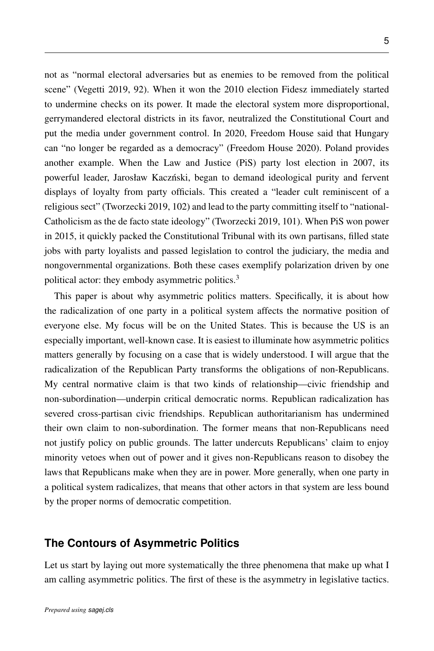not as "normal electoral adversaries but as enemies to be removed from the political scene" [\(Vegetti 2019,](#page-34-3) 92). When it won the 2010 election Fidesz immediately started to undermine checks on its power. It made the electoral system more disproportional, gerrymandered electoral districts in its favor, neutralized the Constitutional Court and put the media under government control. In 2020, Freedom House said that Hungary can "no longer be regarded as a democracy" (Freedom House [2020\)](#page-31-3). Poland provides another example. When the Law and Justice (PiS) party lost election in 2007, its powerful leader, Jarosław Kaczński, began to demand ideological purity and fervent displays of loyalty from party officials. This created a "leader cult reminiscent of a religious sect" [\(Tworzecki 2019,](#page-34-4) 102) and lead to the party committing itself to "national-Catholicism as the de facto state ideology" [\(Tworzecki 2019,](#page-34-4) 101). When PiS won power in 2015, it quickly packed the Constitutional Tribunal with its own partisans, filled state jobs with party loyalists and passed legislation to control the judiciary, the media and nongovernmental organizations. Both these cases exemplify polarization driven by one political actor: they embody asymmetric politics.<sup>3</sup>

This paper is about why asymmetric politics matters. Specifically, it is about how the radicalization of one party in a political system affects the normative position of everyone else. My focus will be on the United States. This is because the US is an especially important, well-known case. It is easiest to illuminate how asymmetric politics matters generally by focusing on a case that is widely understood. I will argue that the radicalization of the Republican Party transforms the obligations of non-Republicans. My central normative claim is that two kinds of relationship—civic friendship and non-subordination—underpin critical democratic norms. Republican radicalization has severed cross-partisan civic friendships. Republican authoritarianism has undermined their own claim to non-subordination. The former means that non-Republicans need not justify policy on public grounds. The latter undercuts Republicans' claim to enjoy minority vetoes when out of power and it gives non-Republicans reason to disobey the laws that Republicans make when they are in power. More generally, when one party in a political system radicalizes, that means that other actors in that system are less bound by the proper norms of democratic competition.

#### **The Contours of Asymmetric Politics**

Let us start by laying out more systematically the three phenomena that make up what I am calling asymmetric politics. The first of these is the asymmetry in legislative tactics.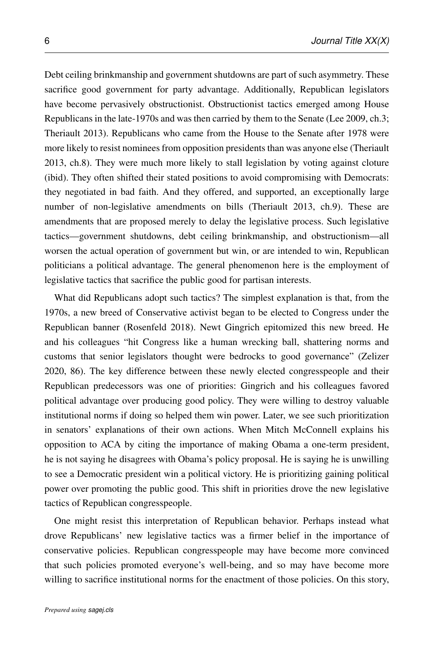Debt ceiling brinkmanship and government shutdowns are part of such asymmetry. These sacrifice good government for party advantage. Additionally, Republican legislators have become pervasively obstructionist. Obstructionist tactics emerged among House Republicans in the late-1970s and was then carried by them to the Senate (Lee [2009,](#page-31-4) ch.3; Theriault [2013\)](#page-34-5). Republicans who came from the House to the Senate after 1978 were more likely to resist nominees from opposition presidents than was anyone else [\(Theriault](#page-34-5) [2013,](#page-34-5) ch.8). They were much more likely to stall legislation by voting against cloture (ibid). They often shifted their stated positions to avoid compromising with Democrats: they negotiated in bad faith. And they offered, and supported, an exceptionally large number of non-legislative amendments on bills [\(Theriault 2013,](#page-34-5) ch.9). These are amendments that are proposed merely to delay the legislative process. Such legislative tactics—government shutdowns, debt ceiling brinkmanship, and obstructionism—all worsen the actual operation of government but win, or are intended to win, Republican politicians a political advantage. The general phenomenon here is the employment of legislative tactics that sacrifice the public good for partisan interests.

What did Republicans adopt such tactics? The simplest explanation is that, from the 1970s, a new breed of Conservative activist began to be elected to Congress under the Republican banner [\(Rosenfeld 2018\)](#page-34-1). Newt Gingrich epitomized this new breed. He and his colleagues "hit Congress like a human wrecking ball, shattering norms and customs that senior legislators thought were bedrocks to good governance" [\(Zelizer](#page-34-6) [2020,](#page-34-6) 86). The key difference between these newly elected congresspeople and their Republican predecessors was one of priorities: Gingrich and his colleagues favored political advantage over producing good policy. They were willing to destroy valuable institutional norms if doing so helped them win power. Later, we see such prioritization in senators' explanations of their own actions. When Mitch McConnell explains his opposition to ACA by citing the importance of making Obama a one-term president, he is not saying he disagrees with Obama's policy proposal. He is saying he is unwilling to see a Democratic president win a political victory. He is prioritizing gaining political power over promoting the public good. This shift in priorities drove the new legislative tactics of Republican congresspeople.

One might resist this interpretation of Republican behavior. Perhaps instead what drove Republicans' new legislative tactics was a firmer belief in the importance of conservative policies. Republican congresspeople may have become more convinced that such policies promoted everyone's well-being, and so may have become more willing to sacrifice institutional norms for the enactment of those policies. On this story,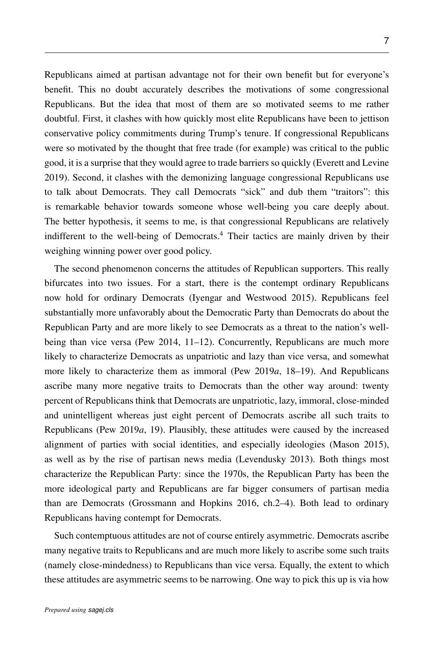Republicans aimed at partisan advantage not for their own benefit but for everyone's benefit. This no doubt accurately describes the motivations of some congressional Republicans. But the idea that most of them are so motivated seems to me rather doubtful. First, it clashes with how quickly most elite Republicans have been to jettison conservative policy commitments during Trump's tenure. If congressional Republicans were so motivated by the thought that free trade (for example) was critical to the public good, it is a surprise that they would agree to trade barriers so quickly [\(Everett and Levine](#page-30-3) [2019\)](#page-30-3). Second, it clashes with the demonizing language congressional Republicans use to talk about Democrats. They call Democrats "sick" and dub them "traitors": this is remarkable behavior towards someone whose well-being you care deeply about. The better hypothesis, it seems to me, is that congressional Republicans are relatively indifferent to the well-being of Democrats.<sup>4</sup> Their tactics are mainly driven by their weighing winning power over good policy.

The second phenomenon concerns the attitudes of Republican supporters. This really bifurcates into two issues. For a start, there is the contempt ordinary Republicans now hold for ordinary Democrats [\(Iyengar and Westwood 2015\)](#page-31-5). Republicans feel substantially more unfavorably about the Democratic Party than Democrats do about the Republican Party and are more likely to see Democrats as a threat to the nation's well-being than vice versa [\(Pew 2014,](#page-33-2) 11–12). Concurrently, Republicans are much more likely to characterize Democrats as unpatriotic and lazy than vice versa, and somewhat more likely to characterize them as immoral [\(Pew 2019](#page-33-4)*a*, 18–19). And Republicans ascribe many more negative traits to Democrats than the other way around: twenty percent of Republicans think that Democrats are unpatriotic, lazy, immoral, close-minded and unintelligent whereas just eight percent of Democrats ascribe all such traits to Republicans [\(Pew 2019](#page-33-4)*a*, 19). Plausibly, these attitudes were caused by the increased alignment of parties with social identities, and especially ideologies (Mason [2015\)](#page-32-4), as well as by the rise of partisan news media [\(Levendusky 2013\)](#page-32-5). Both things most characterize the Republican Party: since the 1970s, the Republican Party has been the more ideological party and Republicans are far bigger consumers of partisan media than are Democrats [\(Grossmann and Hopkins 2016,](#page-30-2) ch.2–4). Both lead to ordinary Republicans having contempt for Democrats.

Such contemptuous attitudes are not of course entirely asymmetric. Democrats ascribe many negative traits to Republicans and are much more likely to ascribe some such traits (namely close-mindedness) to Republicans than vice versa. Equally, the extent to which these attitudes are asymmetric seems to be narrowing. One way to pick this up is via how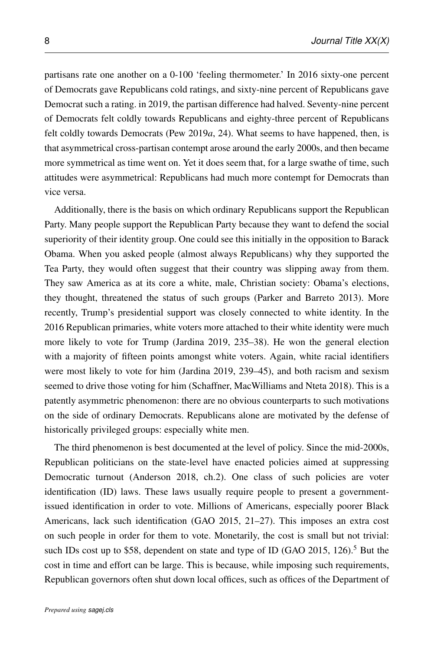partisans rate one another on a 0-100 'feeling thermometer.' In 2016 sixty-one percent of Democrats gave Republicans cold ratings, and sixty-nine percent of Republicans gave Democrat such a rating. in 2019, the partisan difference had halved. Seventy-nine percent of Democrats felt coldly towards Republicans and eighty-three percent of Republicans felt coldly towards Democrats [\(Pew 2019](#page-33-4)*a*, 24). What seems to have happened, then, is that asymmetrical cross-partisan contempt arose around the early 2000s, and then became more symmetrical as time went on. Yet it does seem that, for a large swathe of time, such attitudes were asymmetrical: Republicans had much more contempt for Democrats than vice versa.

Additionally, there is the basis on which ordinary Republicans support the Republican Party. Many people support the Republican Party because they want to defend the social superiority of their identity group. One could see this initially in the opposition to Barack Obama. When you asked people (almost always Republicans) why they supported the Tea Party, they would often suggest that their country was slipping away from them. They saw America as at its core a white, male, Christian society: Obama's elections, they thought, threatened the status of such groups [\(Parker and Barreto 2013\)](#page-33-5). More recently, Trump's presidential support was closely connected to white identity. In the 2016 Republican primaries, white voters more attached to their white identity were much more likely to vote for Trump [\(Jardina 2019,](#page-31-1) 235–38). He won the general election with a majority of fifteen points amongst white voters. Again, white racial identifiers were most likely to vote for him [\(Jardina 2019,](#page-31-1) 239–45), and both racism and sexism seemed to drive those voting for him [\(Schaffner, MacWilliams and Nteta 2018\)](#page-34-2). This is a patently asymmetric phenomenon: there are no obvious counterparts to such motivations on the side of ordinary Democrats. Republicans alone are motivated by the defense of historically privileged groups: especially white men.

The third phenomenon is best documented at the level of policy. Since the mid-2000s, Republican politicians on the state-level have enacted policies aimed at suppressing Democratic turnout [\(Anderson 2018,](#page-29-2) ch.2). One class of such policies are voter identification (ID) laws. These laws usually require people to present a governmentissued identification in order to vote. Millions of Americans, especially poorer Black Americans, lack such identification [\(GAO 2015,](#page-30-4) 21–27). This imposes an extra cost on such people in order for them to vote. Monetarily, the cost is small but not trivial: such IDs cost up to \$58, dependent on state and type of ID [\(GAO 2015,](#page-30-4) 126).<sup>5</sup> But the cost in time and effort can be large. This is because, while imposing such requirements, Republican governors often shut down local offices, such as offices of the Department of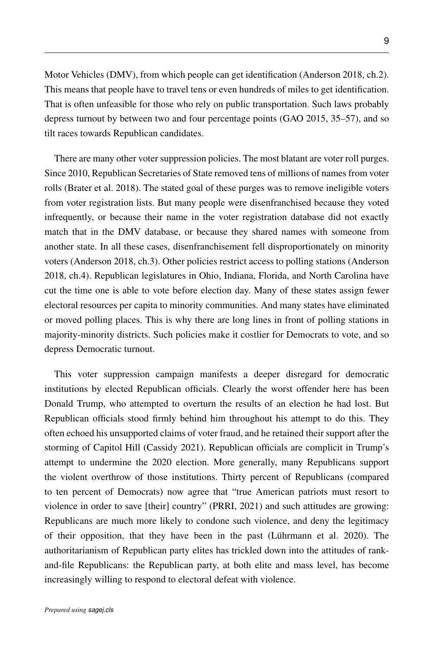Motor Vehicles (DMV), from which people can get identification [\(Anderson 2018,](#page-29-2) ch.2). This means that people have to travel tens or even hundreds of miles to get identification. That is often unfeasible for those who rely on public transportation. Such laws probably depress turnout by between two and four percentage points [\(GAO 2015,](#page-30-4) 35–57), and so tilt races towards Republican candidates.

There are many other voter suppression policies. The most blatant are voter roll purges. Since 2010, Republican Secretaries of State removed tens of millions of names from voter rolls [\(Brater et al. 2018\)](#page-29-4). The stated goal of these purges was to remove ineligible voters from voter registration lists. But many people were disenfranchised because they voted infrequently, or because their name in the voter registration database did not exactly match that in the DMV database, or because they shared names with someone from another state. In all these cases, disenfranchisement fell disproportionately on minority voters [\(Anderson 2018,](#page-29-2) ch.3). Other policies restrict access to polling stations [\(Anderson](#page-29-2) [2018,](#page-29-2) ch.4). Republican legislatures in Ohio, Indiana, Florida, and North Carolina have cut the time one is able to vote before election day. Many of these states assign fewer electoral resources per capita to minority communities. And many states have eliminated or moved polling places. This is why there are long lines in front of polling stations in majority-minority districts. Such policies make it costlier for Democrats to vote, and so depress Democratic turnout.

This voter suppression campaign manifests a deeper disregard for democratic institutions by elected Republican officials. Clearly the worst offender here has been Donald Trump, who attempted to overturn the results of an election he had lost. But Republican officials stood firmly behind him throughout his attempt to do this. They often echoed his unsupported claims of voter fraud, and he retained their support after the storming of Capitol Hill [\(Cassidy 2021\)](#page-29-5). Republican officials are complicit in Trump's attempt to undermine the 2020 election. More generally, many Republicans support the violent overthrow of those institutions. Thirty percent of Republicans (compared to ten percent of Democrats) now agree that "true American patriots must resort to violence in order to save [their] country" (PRRI, [2021\)](#page-31-6) and such attitudes are growing: Republicans are much more likely to condone such violence, and deny the legitimacy of their opposition, that they have been in the past (Lührmann et al. 2020). The authoritarianism of Republican party elites has trickled down into the attitudes of rankand-file Republicans: the Republican party, at both elite and mass level, has become increasingly willing to respond to electoral defeat with violence.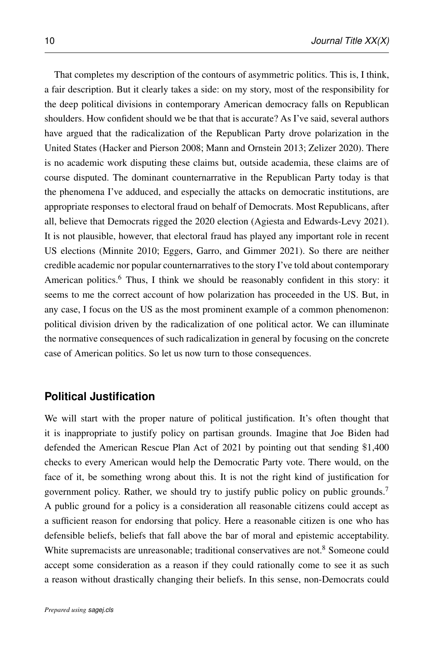That completes my description of the contours of asymmetric politics. This is, I think, a fair description. But it clearly takes a side: on my story, most of the responsibility for the deep political divisions in contemporary American democracy falls on Republican shoulders. How confident should we be that that is accurate? As I've said, several authors have argued that the radicalization of the Republican Party drove polarization in the United States (Hacker and Pierson [2008;](#page-30-0) Mann and Ornstein [2013;](#page-32-0) Zelizer [2020\)](#page-34-6). There is no academic work disputing these claims but, outside academia, these claims are of course disputed. The dominant counternarrative in the Republican Party today is that the phenomena I've adduced, and especially the attacks on democratic institutions, are appropriate responses to electoral fraud on behalf of Democrats. Most Republicans, after all, believe that Democrats rigged the 2020 election [\(Agiesta and Edwards-Levy 2021\)](#page-29-6). It is not plausible, however, that electoral fraud has played any important role in recent US elections (Minnite [2010;](#page-33-6) Eggers, Garro, and Gimmer [2021\)](#page-30-5). So there are neither credible academic nor popular counternarratives to the story I've told about contemporary American politics.<sup>6</sup> Thus, I think we should be reasonably confident in this story: it seems to me the correct account of how polarization has proceeded in the US. But, in any case, I focus on the US as the most prominent example of a common phenomenon: political division driven by the radicalization of one political actor. We can illuminate the normative consequences of such radicalization in general by focusing on the concrete case of American politics. So let us now turn to those consequences.

#### **Political Justification**

We will start with the proper nature of political justification. It's often thought that it is inappropriate to justify policy on partisan grounds. Imagine that Joe Biden had defended the American Rescue Plan Act of 2021 by pointing out that sending \$1,400 checks to every American would help the Democratic Party vote. There would, on the face of it, be something wrong about this. It is not the right kind of justification for government policy. Rather, we should try to justify public policy on public grounds.<sup>7</sup> A public ground for a policy is a consideration all reasonable citizens could accept as a sufficient reason for endorsing that policy. Here a reasonable citizen is one who has defensible beliefs, beliefs that fall above the bar of moral and epistemic acceptability. White supremacists are unreasonable; traditional conservatives are not.<sup>8</sup> Someone could accept some consideration as a reason if they could rationally come to see it as such a reason without drastically changing their beliefs. In this sense, non-Democrats could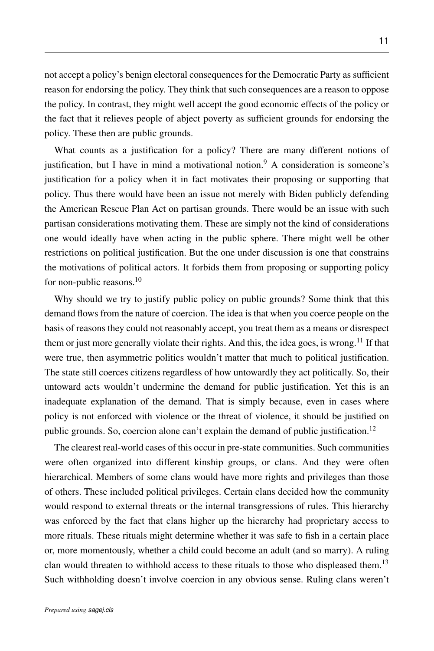not accept a policy's benign electoral consequences for the Democratic Party as sufficient reason for endorsing the policy. They think that such consequences are a reason to oppose the policy. In contrast, they might well accept the good economic effects of the policy or the fact that it relieves people of abject poverty as sufficient grounds for endorsing the policy. These then are public grounds.

What counts as a justification for a policy? There are many different notions of justification, but I have in mind a motivational notion.<sup>9</sup> A consideration is someone's justification for a policy when it in fact motivates their proposing or supporting that policy. Thus there would have been an issue not merely with Biden publicly defending the American Rescue Plan Act on partisan grounds. There would be an issue with such partisan considerations motivating them. These are simply not the kind of considerations one would ideally have when acting in the public sphere. There might well be other restrictions on political justification. But the one under discussion is one that constrains the motivations of political actors. It forbids them from proposing or supporting policy for non-public reasons.<sup>10</sup>

Why should we try to justify public policy on public grounds? Some think that this demand flows from the nature of coercion. The idea is that when you coerce people on the basis of reasons they could not reasonably accept, you treat them as a means or disrespect them or just more generally violate their rights. And this, the idea goes, is wrong.<sup>11</sup> If that were true, then asymmetric politics wouldn't matter that much to political justification. The state still coerces citizens regardless of how untowardly they act politically. So, their untoward acts wouldn't undermine the demand for public justification. Yet this is an inadequate explanation of the demand. That is simply because, even in cases where policy is not enforced with violence or the threat of violence, it should be justified on public grounds. So, coercion alone can't explain the demand of public justification.<sup>12</sup>

The clearest real-world cases of this occur in pre-state communities. Such communities were often organized into different kinship groups, or clans. And they were often hierarchical. Members of some clans would have more rights and privileges than those of others. These included political privileges. Certain clans decided how the community would respond to external threats or the internal transgressions of rules. This hierarchy was enforced by the fact that clans higher up the hierarchy had proprietary access to more rituals. These rituals might determine whether it was safe to fish in a certain place or, more momentously, whether a child could become an adult (and so marry). A ruling clan would threaten to withhold access to these rituals to those who displeased them.<sup>13</sup> Such withholding doesn't involve coercion in any obvious sense. Ruling clans weren't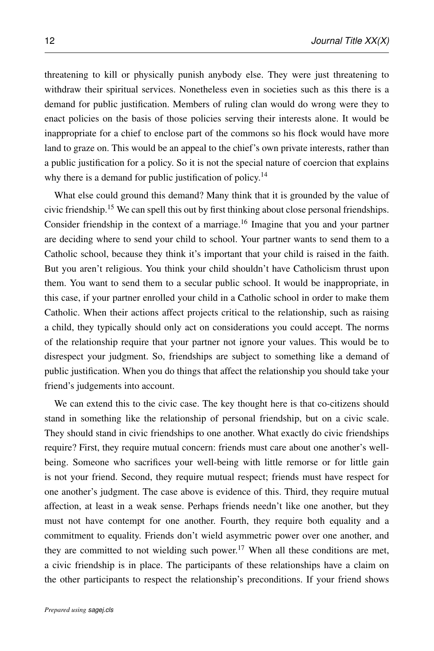threatening to kill or physically punish anybody else. They were just threatening to withdraw their spiritual services. Nonetheless even in societies such as this there is a demand for public justification. Members of ruling clan would do wrong were they to enact policies on the basis of those policies serving their interests alone. It would be inappropriate for a chief to enclose part of the commons so his flock would have more land to graze on. This would be an appeal to the chief's own private interests, rather than a public justification for a policy. So it is not the special nature of coercion that explains why there is a demand for public justification of policy.<sup>14</sup>

What else could ground this demand? Many think that it is grounded by the value of civic friendship.<sup>15</sup> We can spell this out by first thinking about close personal friendships. Consider friendship in the context of a marriage.<sup>16</sup> Imagine that you and your partner are deciding where to send your child to school. Your partner wants to send them to a Catholic school, because they think it's important that your child is raised in the faith. But you aren't religious. You think your child shouldn't have Catholicism thrust upon them. You want to send them to a secular public school. It would be inappropriate, in this case, if your partner enrolled your child in a Catholic school in order to make them Catholic. When their actions affect projects critical to the relationship, such as raising a child, they typically should only act on considerations you could accept. The norms of the relationship require that your partner not ignore your values. This would be to disrespect your judgment. So, friendships are subject to something like a demand of public justification. When you do things that affect the relationship you should take your friend's judgements into account.

We can extend this to the civic case. The key thought here is that co-citizens should stand in something like the relationship of personal friendship, but on a civic scale. They should stand in civic friendships to one another. What exactly do civic friendships require? First, they require mutual concern: friends must care about one another's wellbeing. Someone who sacrifices your well-being with little remorse or for little gain is not your friend. Second, they require mutual respect; friends must have respect for one another's judgment. The case above is evidence of this. Third, they require mutual affection, at least in a weak sense. Perhaps friends needn't like one another, but they must not have contempt for one another. Fourth, they require both equality and a commitment to equality. Friends don't wield asymmetric power over one another, and they are committed to not wielding such power.<sup>17</sup> When all these conditions are met, a civic friendship is in place. The participants of these relationships have a claim on the other participants to respect the relationship's preconditions. If your friend shows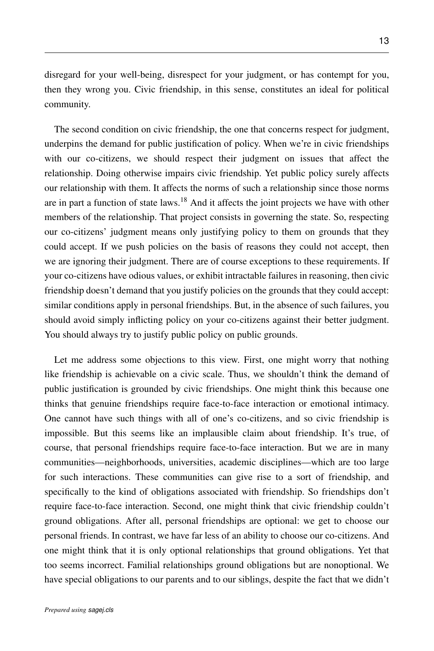disregard for your well-being, disrespect for your judgment, or has contempt for you, then they wrong you. Civic friendship, in this sense, constitutes an ideal for political community.

The second condition on civic friendship, the one that concerns respect for judgment, underpins the demand for public justification of policy. When we're in civic friendships with our co-citizens, we should respect their judgment on issues that affect the relationship. Doing otherwise impairs civic friendship. Yet public policy surely affects our relationship with them. It affects the norms of such a relationship since those norms are in part a function of state laws.<sup>18</sup> And it affects the joint projects we have with other members of the relationship. That project consists in governing the state. So, respecting our co-citizens' judgment means only justifying policy to them on grounds that they could accept. If we push policies on the basis of reasons they could not accept, then we are ignoring their judgment. There are of course exceptions to these requirements. If your co-citizens have odious values, or exhibit intractable failures in reasoning, then civic friendship doesn't demand that you justify policies on the grounds that they could accept: similar conditions apply in personal friendships. But, in the absence of such failures, you should avoid simply inflicting policy on your co-citizens against their better judgment. You should always try to justify public policy on public grounds.

Let me address some objections to this view. First, one might worry that nothing like friendship is achievable on a civic scale. Thus, we shouldn't think the demand of public justification is grounded by civic friendships. One might think this because one thinks that genuine friendships require face-to-face interaction or emotional intimacy. One cannot have such things with all of one's co-citizens, and so civic friendship is impossible. But this seems like an implausible claim about friendship. It's true, of course, that personal friendships require face-to-face interaction. But we are in many communities—neighborhoods, universities, academic disciplines—which are too large for such interactions. These communities can give rise to a sort of friendship, and specifically to the kind of obligations associated with friendship. So friendships don't require face-to-face interaction. Second, one might think that civic friendship couldn't ground obligations. After all, personal friendships are optional: we get to choose our personal friends. In contrast, we have far less of an ability to choose our co-citizens. And one might think that it is only optional relationships that ground obligations. Yet that too seems incorrect. Familial relationships ground obligations but are nonoptional. We have special obligations to our parents and to our siblings, despite the fact that we didn't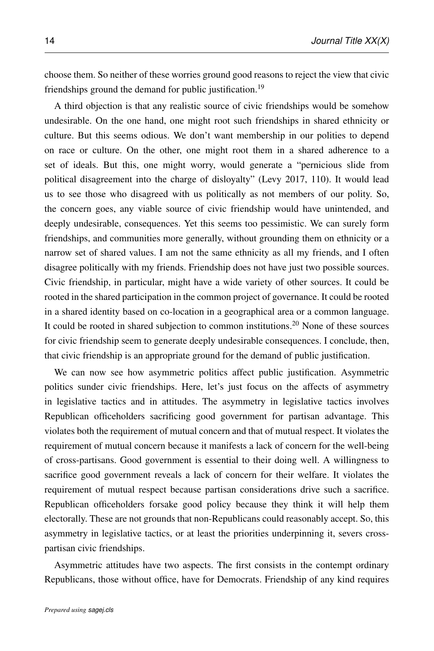choose them. So neither of these worries ground good reasons to reject the view that civic friendships ground the demand for public justification.<sup>19</sup>

A third objection is that any realistic source of civic friendships would be somehow undesirable. On the one hand, one might root such friendships in shared ethnicity or culture. But this seems odious. We don't want membership in our polities to depend on race or culture. On the other, one might root them in a shared adherence to a set of ideals. But this, one might worry, would generate a "pernicious slide from political disagreement into the charge of disloyalty" [\(Levy 2017,](#page-32-7) 110). It would lead us to see those who disagreed with us politically as not members of our polity. So, the concern goes, any viable source of civic friendship would have unintended, and deeply undesirable, consequences. Yet this seems too pessimistic. We can surely form friendships, and communities more generally, without grounding them on ethnicity or a narrow set of shared values. I am not the same ethnicity as all my friends, and I often disagree politically with my friends. Friendship does not have just two possible sources. Civic friendship, in particular, might have a wide variety of other sources. It could be rooted in the shared participation in the common project of governance. It could be rooted in a shared identity based on co-location in a geographical area or a common language. It could be rooted in shared subjection to common institutions.<sup>20</sup> None of these sources for civic friendship seem to generate deeply undesirable consequences. I conclude, then, that civic friendship is an appropriate ground for the demand of public justification.

We can now see how asymmetric politics affect public justification. Asymmetric politics sunder civic friendships. Here, let's just focus on the affects of asymmetry in legislative tactics and in attitudes. The asymmetry in legislative tactics involves Republican officeholders sacrificing good government for partisan advantage. This violates both the requirement of mutual concern and that of mutual respect. It violates the requirement of mutual concern because it manifests a lack of concern for the well-being of cross-partisans. Good government is essential to their doing well. A willingness to sacrifice good government reveals a lack of concern for their welfare. It violates the requirement of mutual respect because partisan considerations drive such a sacrifice. Republican officeholders forsake good policy because they think it will help them electorally. These are not grounds that non-Republicans could reasonably accept. So, this asymmetry in legislative tactics, or at least the priorities underpinning it, severs crosspartisan civic friendships.

Asymmetric attitudes have two aspects. The first consists in the contempt ordinary Republicans, those without office, have for Democrats. Friendship of any kind requires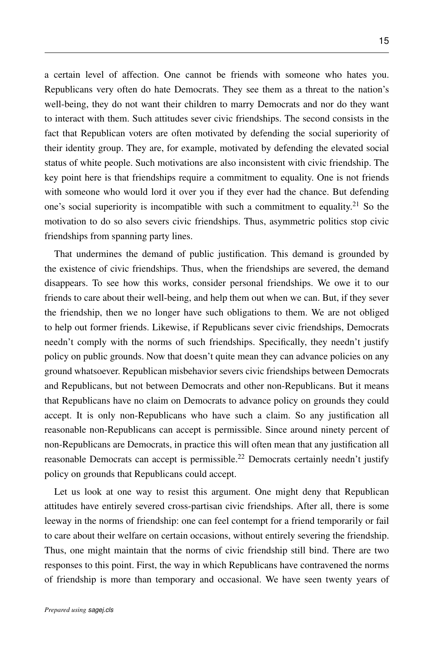a certain level of affection. One cannot be friends with someone who hates you. Republicans very often do hate Democrats. They see them as a threat to the nation's well-being, they do not want their children to marry Democrats and nor do they want to interact with them. Such attitudes sever civic friendships. The second consists in the fact that Republican voters are often motivated by defending the social superiority of their identity group. They are, for example, motivated by defending the elevated social status of white people. Such motivations are also inconsistent with civic friendship. The key point here is that friendships require a commitment to equality. One is not friends with someone who would lord it over you if they ever had the chance. But defending one's social superiority is incompatible with such a commitment to equality.<sup>21</sup> So the motivation to do so also severs civic friendships. Thus, asymmetric politics stop civic friendships from spanning party lines.

That undermines the demand of public justification. This demand is grounded by the existence of civic friendships. Thus, when the friendships are severed, the demand disappears. To see how this works, consider personal friendships. We owe it to our friends to care about their well-being, and help them out when we can. But, if they sever the friendship, then we no longer have such obligations to them. We are not obliged to help out former friends. Likewise, if Republicans sever civic friendships, Democrats needn't comply with the norms of such friendships. Specifically, they needn't justify policy on public grounds. Now that doesn't quite mean they can advance policies on any ground whatsoever. Republican misbehavior severs civic friendships between Democrats and Republicans, but not between Democrats and other non-Republicans. But it means that Republicans have no claim on Democrats to advance policy on grounds they could accept. It is only non-Republicans who have such a claim. So any justification all reasonable non-Republicans can accept is permissible. Since around ninety percent of non-Republicans are Democrats, in practice this will often mean that any justification all reasonable Democrats can accept is permissible.<sup>22</sup> Democrats certainly needn't justify policy on grounds that Republicans could accept.

Let us look at one way to resist this argument. One might deny that Republican attitudes have entirely severed cross-partisan civic friendships. After all, there is some leeway in the norms of friendship: one can feel contempt for a friend temporarily or fail to care about their welfare on certain occasions, without entirely severing the friendship. Thus, one might maintain that the norms of civic friendship still bind. There are two responses to this point. First, the way in which Republicans have contravened the norms of friendship is more than temporary and occasional. We have seen twenty years of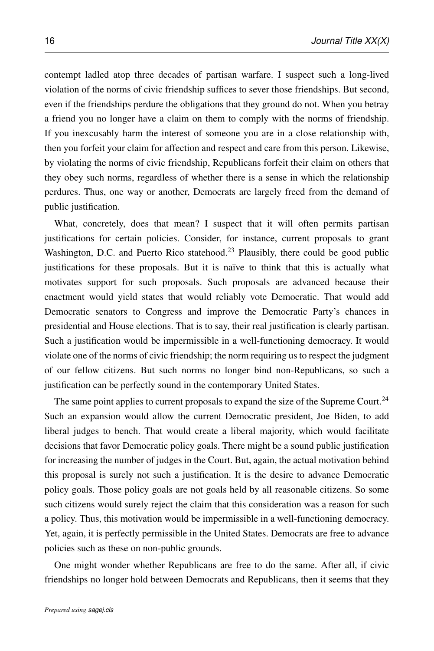contempt ladled atop three decades of partisan warfare. I suspect such a long-lived violation of the norms of civic friendship suffices to sever those friendships. But second, even if the friendships perdure the obligations that they ground do not. When you betray a friend you no longer have a claim on them to comply with the norms of friendship. If you inexcusably harm the interest of someone you are in a close relationship with, then you forfeit your claim for affection and respect and care from this person. Likewise, by violating the norms of civic friendship, Republicans forfeit their claim on others that they obey such norms, regardless of whether there is a sense in which the relationship perdures. Thus, one way or another, Democrats are largely freed from the demand of public justification.

What, concretely, does that mean? I suspect that it will often permits partisan justifications for certain policies. Consider, for instance, current proposals to grant Washington, D.C. and Puerto Rico statehood.<sup>23</sup> Plausibly, there could be good public justifications for these proposals. But it is naïve to think that this is actually what motivates support for such proposals. Such proposals are advanced because their enactment would yield states that would reliably vote Democratic. That would add Democratic senators to Congress and improve the Democratic Party's chances in presidential and House elections. That is to say, their real justification is clearly partisan. Such a justification would be impermissible in a well-functioning democracy. It would violate one of the norms of civic friendship; the norm requiring us to respect the judgment of our fellow citizens. But such norms no longer bind non-Republicans, so such a justification can be perfectly sound in the contemporary United States.

The same point applies to current proposals to expand the size of the Supreme Court.<sup>24</sup> Such an expansion would allow the current Democratic president, Joe Biden, to add liberal judges to bench. That would create a liberal majority, which would facilitate decisions that favor Democratic policy goals. There might be a sound public justification for increasing the number of judges in the Court. But, again, the actual motivation behind this proposal is surely not such a justification. It is the desire to advance Democratic policy goals. Those policy goals are not goals held by all reasonable citizens. So some such citizens would surely reject the claim that this consideration was a reason for such a policy. Thus, this motivation would be impermissible in a well-functioning democracy. Yet, again, it is perfectly permissible in the United States. Democrats are free to advance policies such as these on non-public grounds.

One might wonder whether Republicans are free to do the same. After all, if civic friendships no longer hold between Democrats and Republicans, then it seems that they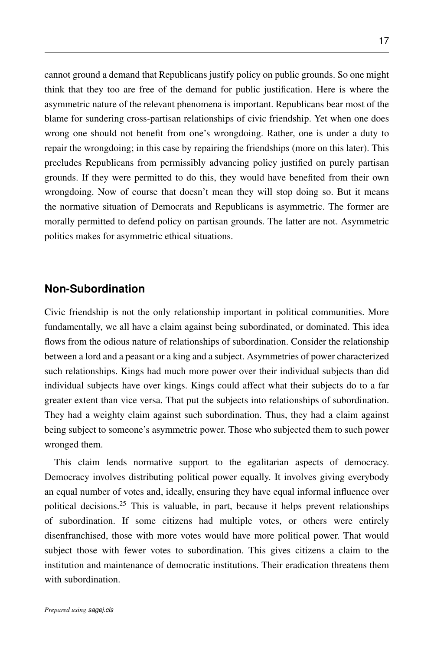cannot ground a demand that Republicans justify policy on public grounds. So one might think that they too are free of the demand for public justification. Here is where the asymmetric nature of the relevant phenomena is important. Republicans bear most of the blame for sundering cross-partisan relationships of civic friendship. Yet when one does wrong one should not benefit from one's wrongdoing. Rather, one is under a duty to repair the wrongdoing; in this case by repairing the friendships (more on this later). This precludes Republicans from permissibly advancing policy justified on purely partisan grounds. If they were permitted to do this, they would have benefited from their own wrongdoing. Now of course that doesn't mean they will stop doing so. But it means the normative situation of Democrats and Republicans is asymmetric. The former are morally permitted to defend policy on partisan grounds. The latter are not. Asymmetric politics makes for asymmetric ethical situations.

#### **Non-Subordination**

Civic friendship is not the only relationship important in political communities. More fundamentally, we all have a claim against being subordinated, or dominated. This idea flows from the odious nature of relationships of subordination. Consider the relationship between a lord and a peasant or a king and a subject. Asymmetries of power characterized such relationships. Kings had much more power over their individual subjects than did individual subjects have over kings. Kings could affect what their subjects do to a far greater extent than vice versa. That put the subjects into relationships of subordination. They had a weighty claim against such subordination. Thus, they had a claim against being subject to someone's asymmetric power. Those who subjected them to such power wronged them.

This claim lends normative support to the egalitarian aspects of democracy. Democracy involves distributing political power equally. It involves giving everybody an equal number of votes and, ideally, ensuring they have equal informal influence over political decisions.<sup>25</sup> This is valuable, in part, because it helps prevent relationships of subordination. If some citizens had multiple votes, or others were entirely disenfranchised, those with more votes would have more political power. That would subject those with fewer votes to subordination. This gives citizens a claim to the institution and maintenance of democratic institutions. Their eradication threatens them with subordination.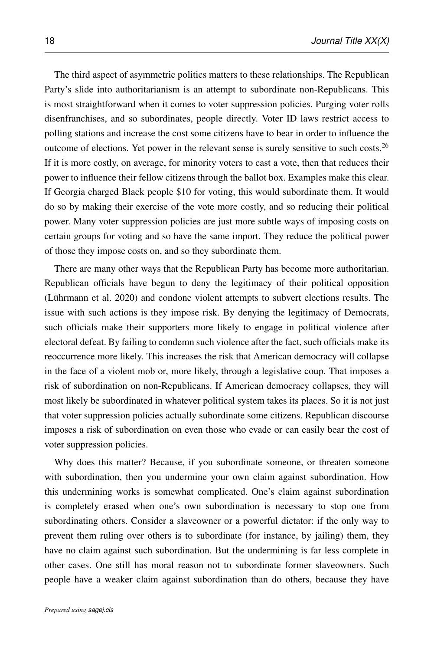The third aspect of asymmetric politics matters to these relationships. The Republican Party's slide into authoritarianism is an attempt to subordinate non-Republicans. This is most straightforward when it comes to voter suppression policies. Purging voter rolls disenfranchises, and so subordinates, people directly. Voter ID laws restrict access to polling stations and increase the cost some citizens have to bear in order to influence the outcome of elections. Yet power in the relevant sense is surely sensitive to such costs.<sup>26</sup> If it is more costly, on average, for minority voters to cast a vote, then that reduces their power to influence their fellow citizens through the ballot box. Examples make this clear. If Georgia charged Black people \$10 for voting, this would subordinate them. It would do so by making their exercise of the vote more costly, and so reducing their political power. Many voter suppression policies are just more subtle ways of imposing costs on certain groups for voting and so have the same import. They reduce the political power of those they impose costs on, and so they subordinate them.

There are many other ways that the Republican Party has become more authoritarian. Republican officials have begun to deny the legitimacy of their political opposition  $(Liihrmann et al. 2020)$  and condone violent attempts to subvert elections results. The issue with such actions is they impose risk. By denying the legitimacy of Democrats, such officials make their supporters more likely to engage in political violence after electoral defeat. By failing to condemn such violence after the fact, such officials make its reoccurrence more likely. This increases the risk that American democracy will collapse in the face of a violent mob or, more likely, through a legislative coup. That imposes a risk of subordination on non-Republicans. If American democracy collapses, they will most likely be subordinated in whatever political system takes its places. So it is not just that voter suppression policies actually subordinate some citizens. Republican discourse imposes a risk of subordination on even those who evade or can easily bear the cost of voter suppression policies.

Why does this matter? Because, if you subordinate someone, or threaten someone with subordination, then you undermine your own claim against subordination. How this undermining works is somewhat complicated. One's claim against subordination is completely erased when one's own subordination is necessary to stop one from subordinating others. Consider a slaveowner or a powerful dictator: if the only way to prevent them ruling over others is to subordinate (for instance, by jailing) them, they have no claim against such subordination. But the undermining is far less complete in other cases. One still has moral reason not to subordinate former slaveowners. Such people have a weaker claim against subordination than do others, because they have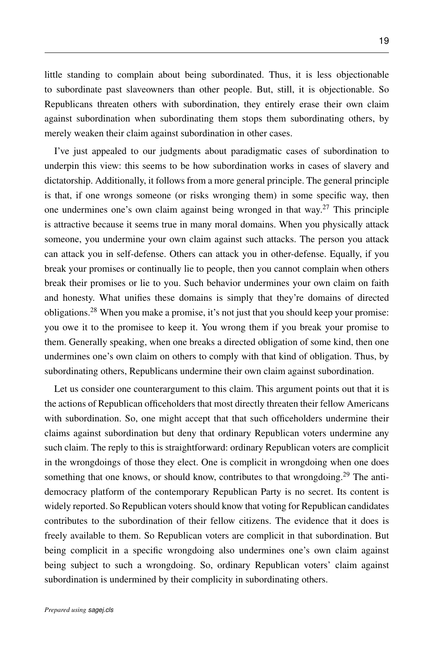little standing to complain about being subordinated. Thus, it is less objectionable to subordinate past slaveowners than other people. But, still, it is objectionable. So Republicans threaten others with subordination, they entirely erase their own claim against subordination when subordinating them stops them subordinating others, by

merely weaken their claim against subordination in other cases.

I've just appealed to our judgments about paradigmatic cases of subordination to underpin this view: this seems to be how subordination works in cases of slavery and dictatorship. Additionally, it follows from a more general principle. The general principle is that, if one wrongs someone (or risks wronging them) in some specific way, then one undermines one's own claim against being wronged in that way.<sup>27</sup> This principle is attractive because it seems true in many moral domains. When you physically attack someone, you undermine your own claim against such attacks. The person you attack can attack you in self-defense. Others can attack you in other-defense. Equally, if you break your promises or continually lie to people, then you cannot complain when others break their promises or lie to you. Such behavior undermines your own claim on faith and honesty. What unifies these domains is simply that they're domains of directed obligations.<sup>28</sup> When you make a promise, it's not just that you should keep your promise: you owe it to the promisee to keep it. You wrong them if you break your promise to them. Generally speaking, when one breaks a directed obligation of some kind, then one undermines one's own claim on others to comply with that kind of obligation. Thus, by subordinating others, Republicans undermine their own claim against subordination.

Let us consider one counterargument to this claim. This argument points out that it is the actions of Republican officeholders that most directly threaten their fellow Americans with subordination. So, one might accept that that such officeholders undermine their claims against subordination but deny that ordinary Republican voters undermine any such claim. The reply to this is straightforward: ordinary Republican voters are complicit in the wrongdoings of those they elect. One is complicit in wrongdoing when one does something that one knows, or should know, contributes to that wrongdoing.<sup>29</sup> The antidemocracy platform of the contemporary Republican Party is no secret. Its content is widely reported. So Republican voters should know that voting for Republican candidates contributes to the subordination of their fellow citizens. The evidence that it does is freely available to them. So Republican voters are complicit in that subordination. But being complicit in a specific wrongdoing also undermines one's own claim against being subject to such a wrongdoing. So, ordinary Republican voters' claim against subordination is undermined by their complicity in subordinating others.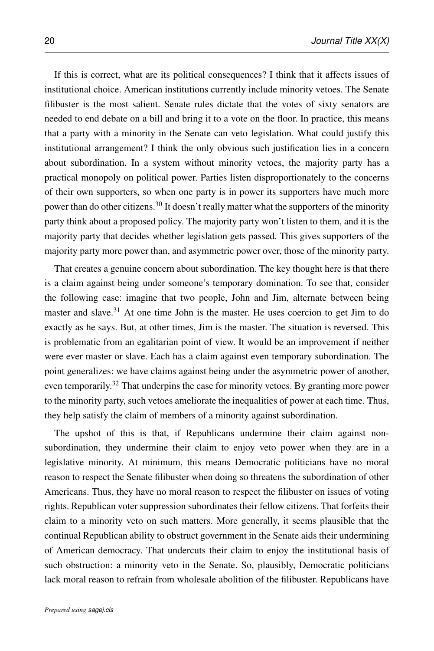If this is correct, what are its political consequences? I think that it affects issues of institutional choice. American institutions currently include minority vetoes. The Senate filibuster is the most salient. Senate rules dictate that the votes of sixty senators are needed to end debate on a bill and bring it to a vote on the floor. In practice, this means that a party with a minority in the Senate can veto legislation. What could justify this institutional arrangement? I think the only obvious such justification lies in a concern about subordination. In a system without minority vetoes, the majority party has a practical monopoly on political power. Parties listen disproportionately to the concerns of their own supporters, so when one party is in power its supporters have much more power than do other citizens.<sup>30</sup> It doesn't really matter what the supporters of the minority party think about a proposed policy. The majority party won't listen to them, and it is the majority party that decides whether legislation gets passed. This gives supporters of the majority party more power than, and asymmetric power over, those of the minority party.

That creates a genuine concern about subordination. The key thought here is that there is a claim against being under someone's temporary domination. To see that, consider the following case: imagine that two people, John and Jim, alternate between being master and slave.<sup>31</sup> At one time John is the master. He uses coercion to get Jim to do exactly as he says. But, at other times, Jim is the master. The situation is reversed. This is problematic from an egalitarian point of view. It would be an improvement if neither were ever master or slave. Each has a claim against even temporary subordination. The point generalizes: we have claims against being under the asymmetric power of another, even temporarily.<sup>32</sup> That underpins the case for minority vetoes. By granting more power to the minority party, such vetoes ameliorate the inequalities of power at each time. Thus, they help satisfy the claim of members of a minority against subordination.

The upshot of this is that, if Republicans undermine their claim against nonsubordination, they undermine their claim to enjoy veto power when they are in a legislative minority. At minimum, this means Democratic politicians have no moral reason to respect the Senate filibuster when doing so threatens the subordination of other Americans. Thus, they have no moral reason to respect the filibuster on issues of voting rights. Republican voter suppression subordinates their fellow citizens. That forfeits their claim to a minority veto on such matters. More generally, it seems plausible that the continual Republican ability to obstruct government in the Senate aids their undermining of American democracy. That undercuts their claim to enjoy the institutional basis of such obstruction: a minority veto in the Senate. So, plausibly, Democratic politicians lack moral reason to refrain from wholesale abolition of the filibuster. Republicans have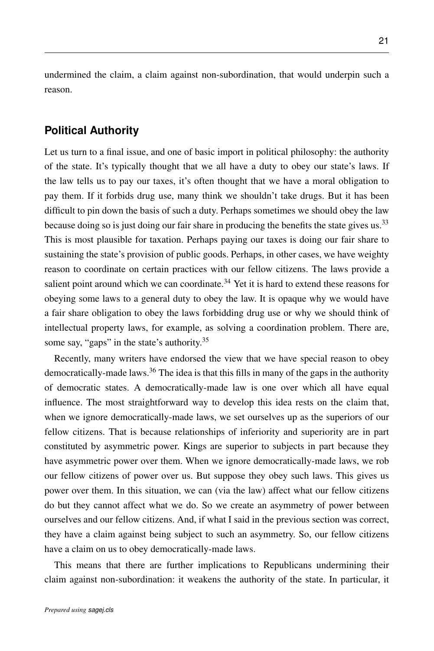undermined the claim, a claim against non-subordination, that would underpin such a reason.

### **Political Authority**

Let us turn to a final issue, and one of basic import in political philosophy: the authority of the state. It's typically thought that we all have a duty to obey our state's laws. If the law tells us to pay our taxes, it's often thought that we have a moral obligation to pay them. If it forbids drug use, many think we shouldn't take drugs. But it has been difficult to pin down the basis of such a duty. Perhaps sometimes we should obey the law because doing so is just doing our fair share in producing the benefits the state gives us.<sup>33</sup> This is most plausible for taxation. Perhaps paying our taxes is doing our fair share to sustaining the state's provision of public goods. Perhaps, in other cases, we have weighty reason to coordinate on certain practices with our fellow citizens. The laws provide a salient point around which we can coordinate.<sup>34</sup> Yet it is hard to extend these reasons for obeying some laws to a general duty to obey the law. It is opaque why we would have a fair share obligation to obey the laws forbidding drug use or why we should think of intellectual property laws, for example, as solving a coordination problem. There are, some say, "gaps" in the state's authority.<sup>35</sup>

Recently, many writers have endorsed the view that we have special reason to obey democratically-made laws.<sup>36</sup> The idea is that this fills in many of the gaps in the authority of democratic states. A democratically-made law is one over which all have equal influence. The most straightforward way to develop this idea rests on the claim that, when we ignore democratically-made laws, we set ourselves up as the superiors of our fellow citizens. That is because relationships of inferiority and superiority are in part constituted by asymmetric power. Kings are superior to subjects in part because they have asymmetric power over them. When we ignore democratically-made laws, we rob our fellow citizens of power over us. But suppose they obey such laws. This gives us power over them. In this situation, we can (via the law) affect what our fellow citizens do but they cannot affect what we do. So we create an asymmetry of power between ourselves and our fellow citizens. And, if what I said in the previous section was correct, they have a claim against being subject to such an asymmetry. So, our fellow citizens have a claim on us to obey democratically-made laws.

This means that there are further implications to Republicans undermining their claim against non-subordination: it weakens the authority of the state. In particular, it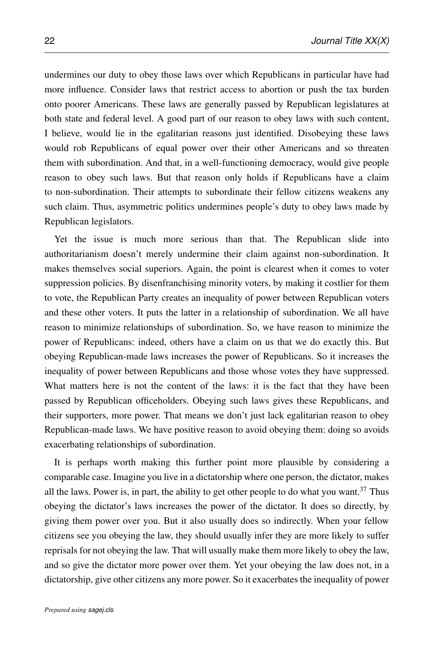undermines our duty to obey those laws over which Republicans in particular have had more influence. Consider laws that restrict access to abortion or push the tax burden onto poorer Americans. These laws are generally passed by Republican legislatures at both state and federal level. A good part of our reason to obey laws with such content, I believe, would lie in the egalitarian reasons just identified. Disobeying these laws would rob Republicans of equal power over their other Americans and so threaten them with subordination. And that, in a well-functioning democracy, would give people reason to obey such laws. But that reason only holds if Republicans have a claim to non-subordination. Their attempts to subordinate their fellow citizens weakens any such claim. Thus, asymmetric politics undermines people's duty to obey laws made by Republican legislators.

Yet the issue is much more serious than that. The Republican slide into authoritarianism doesn't merely undermine their claim against non-subordination. It makes themselves social superiors. Again, the point is clearest when it comes to voter suppression policies. By disenfranchising minority voters, by making it costlier for them to vote, the Republican Party creates an inequality of power between Republican voters and these other voters. It puts the latter in a relationship of subordination. We all have reason to minimize relationships of subordination. So, we have reason to minimize the power of Republicans: indeed, others have a claim on us that we do exactly this. But obeying Republican-made laws increases the power of Republicans. So it increases the inequality of power between Republicans and those whose votes they have suppressed. What matters here is not the content of the laws: it is the fact that they have been passed by Republican officeholders. Obeying such laws gives these Republicans, and their supporters, more power. That means we don't just lack egalitarian reason to obey Republican-made laws. We have positive reason to avoid obeying them: doing so avoids exacerbating relationships of subordination.

It is perhaps worth making this further point more plausible by considering a comparable case. Imagine you live in a dictatorship where one person, the dictator, makes all the laws. Power is, in part, the ability to get other people to do what you want.<sup>37</sup> Thus obeying the dictator's laws increases the power of the dictator. It does so directly, by giving them power over you. But it also usually does so indirectly. When your fellow citizens see you obeying the law, they should usually infer they are more likely to suffer reprisals for not obeying the law. That will usually make them more likely to obey the law, and so give the dictator more power over them. Yet your obeying the law does not, in a dictatorship, give other citizens any more power. So it exacerbates the inequality of power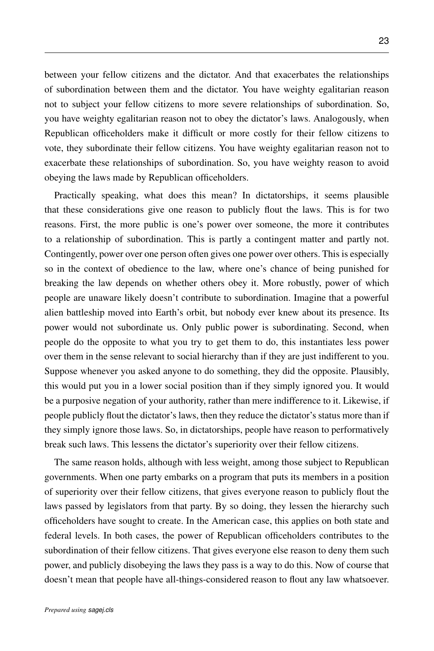between your fellow citizens and the dictator. And that exacerbates the relationships of subordination between them and the dictator. You have weighty egalitarian reason not to subject your fellow citizens to more severe relationships of subordination. So, you have weighty egalitarian reason not to obey the dictator's laws. Analogously, when Republican officeholders make it difficult or more costly for their fellow citizens to vote, they subordinate their fellow citizens. You have weighty egalitarian reason not to exacerbate these relationships of subordination. So, you have weighty reason to avoid obeying the laws made by Republican officeholders.

Practically speaking, what does this mean? In dictatorships, it seems plausible that these considerations give one reason to publicly flout the laws. This is for two reasons. First, the more public is one's power over someone, the more it contributes to a relationship of subordination. This is partly a contingent matter and partly not. Contingently, power over one person often gives one power over others. This is especially so in the context of obedience to the law, where one's chance of being punished for breaking the law depends on whether others obey it. More robustly, power of which people are unaware likely doesn't contribute to subordination. Imagine that a powerful alien battleship moved into Earth's orbit, but nobody ever knew about its presence. Its power would not subordinate us. Only public power is subordinating. Second, when people do the opposite to what you try to get them to do, this instantiates less power over them in the sense relevant to social hierarchy than if they are just indifferent to you. Suppose whenever you asked anyone to do something, they did the opposite. Plausibly, this would put you in a lower social position than if they simply ignored you. It would be a purposive negation of your authority, rather than mere indifference to it. Likewise, if people publicly flout the dictator's laws, then they reduce the dictator's status more than if they simply ignore those laws. So, in dictatorships, people have reason to performatively break such laws. This lessens the dictator's superiority over their fellow citizens.

The same reason holds, although with less weight, among those subject to Republican governments. When one party embarks on a program that puts its members in a position of superiority over their fellow citizens, that gives everyone reason to publicly flout the laws passed by legislators from that party. By so doing, they lessen the hierarchy such officeholders have sought to create. In the American case, this applies on both state and federal levels. In both cases, the power of Republican officeholders contributes to the subordination of their fellow citizens. That gives everyone else reason to deny them such power, and publicly disobeying the laws they pass is a way to do this. Now of course that doesn't mean that people have all-things-considered reason to flout any law whatsoever.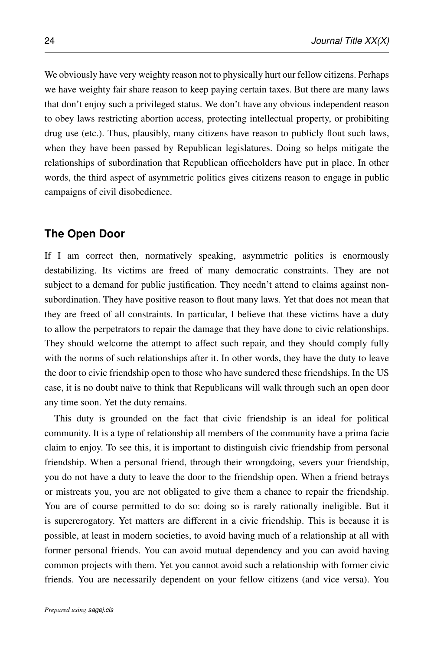We obviously have very weighty reason not to physically hurt our fellow citizens. Perhaps we have weighty fair share reason to keep paying certain taxes. But there are many laws that don't enjoy such a privileged status. We don't have any obvious independent reason to obey laws restricting abortion access, protecting intellectual property, or prohibiting drug use (etc.). Thus, plausibly, many citizens have reason to publicly flout such laws, when they have been passed by Republican legislatures. Doing so helps mitigate the relationships of subordination that Republican officeholders have put in place. In other words, the third aspect of asymmetric politics gives citizens reason to engage in public campaigns of civil disobedience.

#### **The Open Door**

If I am correct then, normatively speaking, asymmetric politics is enormously destabilizing. Its victims are freed of many democratic constraints. They are not subject to a demand for public justification. They needn't attend to claims against nonsubordination. They have positive reason to flout many laws. Yet that does not mean that they are freed of all constraints. In particular, I believe that these victims have a duty to allow the perpetrators to repair the damage that they have done to civic relationships. They should welcome the attempt to affect such repair, and they should comply fully with the norms of such relationships after it. In other words, they have the duty to leave the door to civic friendship open to those who have sundered these friendships. In the US case, it is no doubt naïve to think that Republicans will walk through such an open door any time soon. Yet the duty remains.

This duty is grounded on the fact that civic friendship is an ideal for political community. It is a type of relationship all members of the community have a prima facie claim to enjoy. To see this, it is important to distinguish civic friendship from personal friendship. When a personal friend, through their wrongdoing, severs your friendship, you do not have a duty to leave the door to the friendship open. When a friend betrays or mistreats you, you are not obligated to give them a chance to repair the friendship. You are of course permitted to do so: doing so is rarely rationally ineligible. But it is supererogatory. Yet matters are different in a civic friendship. This is because it is possible, at least in modern societies, to avoid having much of a relationship at all with former personal friends. You can avoid mutual dependency and you can avoid having common projects with them. Yet you cannot avoid such a relationship with former civic friends. You are necessarily dependent on your fellow citizens (and vice versa). You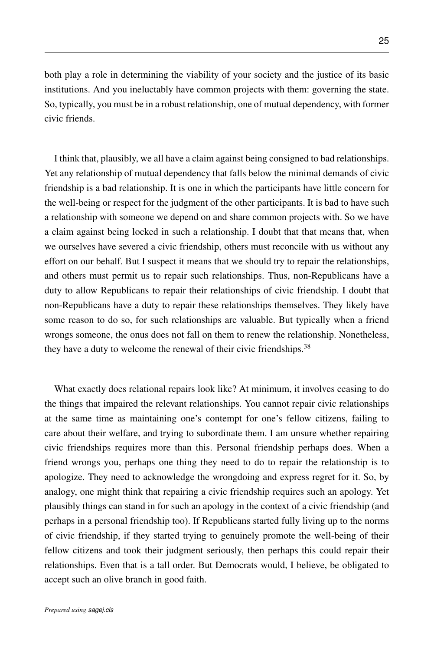both play a role in determining the viability of your society and the justice of its basic institutions. And you ineluctably have common projects with them: governing the state. So, typically, you must be in a robust relationship, one of mutual dependency, with former civic friends.

I think that, plausibly, we all have a claim against being consigned to bad relationships. Yet any relationship of mutual dependency that falls below the minimal demands of civic friendship is a bad relationship. It is one in which the participants have little concern for the well-being or respect for the judgment of the other participants. It is bad to have such a relationship with someone we depend on and share common projects with. So we have a claim against being locked in such a relationship. I doubt that that means that, when we ourselves have severed a civic friendship, others must reconcile with us without any effort on our behalf. But I suspect it means that we should try to repair the relationships, and others must permit us to repair such relationships. Thus, non-Republicans have a duty to allow Republicans to repair their relationships of civic friendship. I doubt that non-Republicans have a duty to repair these relationships themselves. They likely have some reason to do so, for such relationships are valuable. But typically when a friend wrongs someone, the onus does not fall on them to renew the relationship. Nonetheless, they have a duty to welcome the renewal of their civic friendships.<sup>38</sup>

What exactly does relational repairs look like? At minimum, it involves ceasing to do the things that impaired the relevant relationships. You cannot repair civic relationships at the same time as maintaining one's contempt for one's fellow citizens, failing to care about their welfare, and trying to subordinate them. I am unsure whether repairing civic friendships requires more than this. Personal friendship perhaps does. When a friend wrongs you, perhaps one thing they need to do to repair the relationship is to apologize. They need to acknowledge the wrongdoing and express regret for it. So, by analogy, one might think that repairing a civic friendship requires such an apology. Yet plausibly things can stand in for such an apology in the context of a civic friendship (and perhaps in a personal friendship too). If Republicans started fully living up to the norms of civic friendship, if they started trying to genuinely promote the well-being of their fellow citizens and took their judgment seriously, then perhaps this could repair their relationships. Even that is a tall order. But Democrats would, I believe, be obligated to accept such an olive branch in good faith.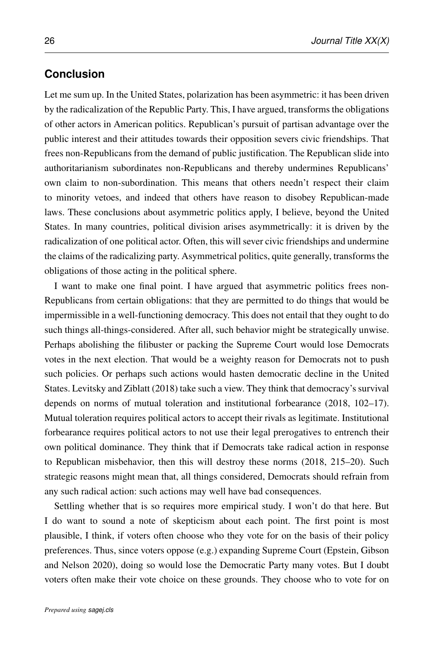### **Conclusion**

Let me sum up. In the United States, polarization has been asymmetric: it has been driven by the radicalization of the Republic Party. This, I have argued, transforms the obligations of other actors in American politics. Republican's pursuit of partisan advantage over the public interest and their attitudes towards their opposition severs civic friendships. That frees non-Republicans from the demand of public justification. The Republican slide into authoritarianism subordinates non-Republicans and thereby undermines Republicans' own claim to non-subordination. This means that others needn't respect their claim to minority vetoes, and indeed that others have reason to disobey Republican-made laws. These conclusions about asymmetric politics apply, I believe, beyond the United States. In many countries, political division arises asymmetrically: it is driven by the radicalization of one political actor. Often, this will sever civic friendships and undermine the claims of the radicalizing party. Asymmetrical politics, quite generally, transforms the obligations of those acting in the political sphere.

I want to make one final point. I have argued that asymmetric politics frees non-Republicans from certain obligations: that they are permitted to do things that would be impermissible in a well-functioning democracy. This does not entail that they ought to do such things all-things-considered. After all, such behavior might be strategically unwise. Perhaps abolishing the filibuster or packing the Supreme Court would lose Democrats votes in the next election. That would be a weighty reason for Democrats not to push such policies. Or perhaps such actions would hasten democratic decline in the United States. [Levitsky and Ziblatt](#page-32-8) [\(2018\)](#page-32-8) take such a view. They think that democracy's survival depends on norms of mutual toleration and institutional forbearance [\(2018,](#page-32-8) 102–17). Mutual toleration requires political actors to accept their rivals as legitimate. Institutional forbearance requires political actors to not use their legal prerogatives to entrench their own political dominance. They think that if Democrats take radical action in response to Republican misbehavior, then this will destroy these norms [\(2018,](#page-32-8) 215–20). Such strategic reasons might mean that, all things considered, Democrats should refrain from any such radical action: such actions may well have bad consequences.

Settling whether that is so requires more empirical study. I won't do that here. But I do want to sound a note of skepticism about each point. The first point is most plausible, I think, if voters often choose who they vote for on the basis of their policy preferences. Thus, since voters oppose (e.g.) expanding Supreme Court [\(Epstein, Gibson](#page-30-6) [and Nelson 2020\)](#page-30-6), doing so would lose the Democratic Party many votes. But I doubt voters often make their vote choice on these grounds. They choose who to vote for on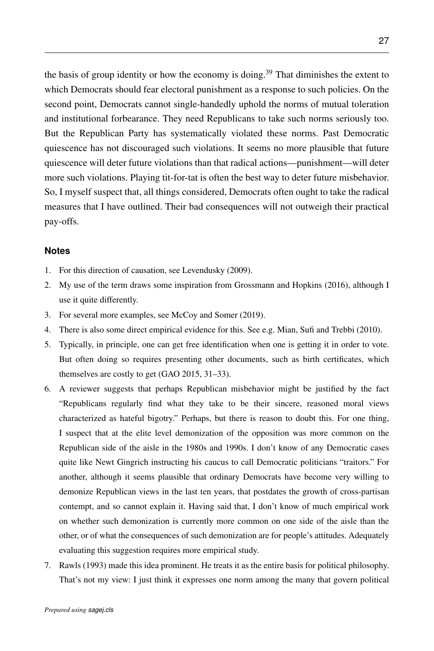the basis of group identity or how the economy is doing.<sup>39</sup> That diminishes the extent to which Democrats should fear electoral punishment as a response to such policies. On the second point, Democrats cannot single-handedly uphold the norms of mutual toleration and institutional forbearance. They need Republicans to take such norms seriously too. But the Republican Party has systematically violated these norms. Past Democratic quiescence has not discouraged such violations. It seems no more plausible that future quiescence will deter future violations than that radical actions—punishment—will deter more such violations. Playing tit-for-tat is often the best way to deter future misbehavior. So, I myself suspect that, all things considered, Democrats often ought to take the radical measures that I have outlined. Their bad consequences will not outweigh their practical pay-offs.

#### <span id="page-26-0"></span>**Notes**

- 1. For this direction of causation, see [Levendusky](#page-32-9) [\(2009\)](#page-32-9).
- 2. My use of the term draws some inspiration from [Grossmann and Hopkins](#page-30-2) [\(2016\)](#page-30-2), although I use it quite differently.
- 3. For several more examples, see [McCoy and Somer](#page-33-7) [\(2019\)](#page-33-7).
- 4. There is also some direct empirical evidence for this. See e.g. [Mian, Sufi and Trebbi](#page-33-8) [\(2010\)](#page-33-8).
- 5. Typically, in principle, one can get free identification when one is getting it in order to vote. But often doing so requires presenting other documents, such as birth certificates, which themselves are costly to get [\(GAO 2015,](#page-30-4) 31–33).
- 6. A reviewer suggests that perhaps Republican misbehavior might be justified by the fact "Republicans regularly find what they take to be their sincere, reasoned moral views characterized as hateful bigotry." Perhaps, but there is reason to doubt this. For one thing, I suspect that at the elite level demonization of the opposition was more common on the Republican side of the aisle in the 1980s and 1990s. I don't know of any Democratic cases quite like Newt Gingrich instructing his caucus to call Democratic politicians "traitors." For another, although it seems plausible that ordinary Democrats have become very willing to demonize Republican views in the last ten years, that postdates the growth of cross-partisan contempt, and so cannot explain it. Having said that, I don't know of much empirical work on whether such demonization is currently more common on one side of the aisle than the other, or of what the consequences of such demonization are for people's attitudes. Adequately evaluating this suggestion requires more empirical study.
- 7. [Rawls](#page-33-9) [\(1993\)](#page-33-9) made this idea prominent. He treats it as the entire basis for political philosophy. That's not my view: I just think it expresses one norm among the many that govern political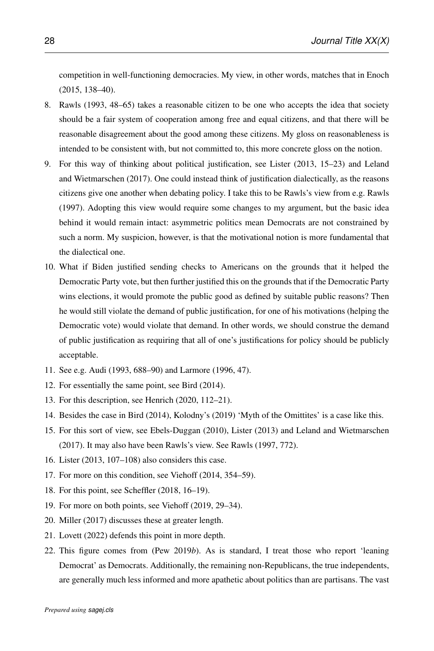competition in well-functioning democracies. My view, in other words, matches that in [Enoch](#page-30-7) [\(2015,](#page-30-7) 138–40).

- 8. [Rawls](#page-33-9) [\(1993,](#page-33-9) 48–65) takes a reasonable citizen to be one who accepts the idea that society should be a fair system of cooperation among free and equal citizens, and that there will be reasonable disagreement about the good among these citizens. My gloss on reasonableness is intended to be consistent with, but not committed to, this more concrete gloss on the notion.
- 9. For this way of thinking about political justification, see [Lister](#page-32-10) [\(2013,](#page-32-10) 15–23) and [Leland](#page-31-7) [and Wietmarschen](#page-31-7) [\(2017\)](#page-31-7). One could instead think of justification dialectically, as the reasons citizens give one another when debating policy. I take this to be Rawls's view from e.g. [Rawls](#page-33-10) [\(1997\)](#page-33-10). Adopting this view would require some changes to my argument, but the basic idea behind it would remain intact: asymmetric politics mean Democrats are not constrained by such a norm. My suspicion, however, is that the motivational notion is more fundamental that the dialectical one.
- 10. What if Biden justified sending checks to Americans on the grounds that it helped the Democratic Party vote, but then further justified this on the grounds that if the Democratic Party wins elections, it would promote the public good as defined by suitable public reasons? Then he would still violate the demand of public justification, for one of his motivations (helping the Democratic vote) would violate that demand. In other words, we should construe the demand of public justification as requiring that all of one's justifications for policy should be publicly acceptable.
- 11. See e.g. [Audi](#page-29-7) [\(1993,](#page-29-7) 688–90) and [Larmore](#page-31-8) [\(1996,](#page-31-8) 47).
- 12. For essentially the same point, see [Bird](#page-29-8) [\(2014\)](#page-29-8).
- 13. For this description, see [Henrich](#page-30-8) [\(2020,](#page-30-8) 112–21).
- 14. Besides the case in [Bird](#page-29-8) [\(2014\)](#page-29-8), Kolodny's [\(2019\)](#page-31-9) 'Myth of the Omittites' is a case like this.
- 15. For this sort of view, see [Ebels-Duggan](#page-30-9) [\(2010\)](#page-30-9), [Lister](#page-32-10) [\(2013\)](#page-32-10) and [Leland and Wietmarschen](#page-31-7) [\(2017\)](#page-31-7). It may also have been Rawls's view. See [Rawls](#page-33-10) [\(1997,](#page-33-10) 772).
- 16. [Lister](#page-32-10) [\(2013,](#page-32-10) 107–108) also considers this case.
- 17. For more on this condition, see [Viehoff](#page-34-7) [\(2014,](#page-34-7) 354–59).
- 18. For this point, see [Scheffler](#page-34-8) [\(2018,](#page-34-8) 16–19).
- 19. For more on both points, see [Viehoff](#page-34-9) [\(2019,](#page-34-9) 29–34).
- 20. [Miller](#page-33-11) [\(2017\)](#page-33-11) discusses these at greater length.
- 21. [Lovett](#page-32-11) [\(2022\)](#page-32-11) defends this point in more depth.
- 22. This figure comes from (Pew [2019](#page-33-12)*b*). As is standard, I treat those who report 'leaning Democrat' as Democrats. Additionally, the remaining non-Republicans, the true independents, are generally much less informed and more apathetic about politics than are partisans. The vast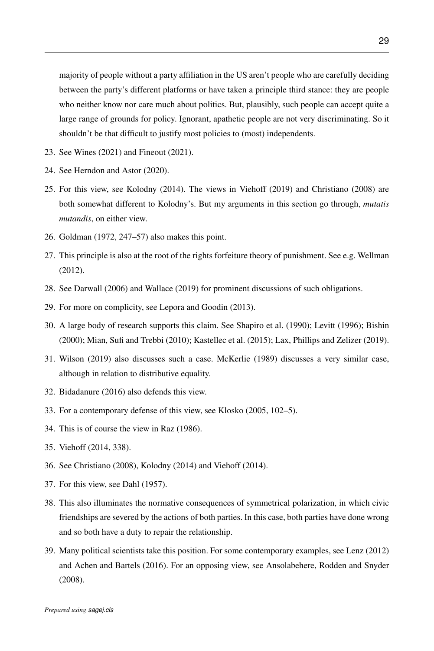majority of people without a party affiliation in the US aren't people who are carefully deciding between the party's different platforms or have taken a principle third stance: they are people who neither know nor care much about politics. But, plausibly, such people can accept quite a large range of grounds for policy. Ignorant, apathetic people are not very discriminating. So it shouldn't be that difficult to justify most policies to (most) independents.

- 23. See [Wines](#page-34-10) [\(2021\)](#page-34-10) and [Fineout](#page-30-10) [\(2021\)](#page-30-10).
- 24. See [Herndon and Astor](#page-31-10) [\(2020\)](#page-31-10).
- 25. For this view, see [Kolodny](#page-31-11) [\(2014\)](#page-31-11). The views in [Viehoff](#page-34-9) [\(2019\)](#page-34-9) and [Christiano](#page-30-11) [\(2008\)](#page-30-11) are both somewhat different to Kolodny's. But my arguments in this section go through, *mutatis mutandis*, on either view.
- 26. [Goldman](#page-30-12) [\(1972,](#page-30-12) 247–57) also makes this point.
- 27. This principle is also at the root of the rights forfeiture theory of punishment. See e.g. [Wellman](#page-34-11) [\(2012\)](#page-34-11).
- 28. See [Darwall](#page-30-13) [\(2006\)](#page-30-13) and [Wallace](#page-34-12) [\(2019\)](#page-34-12) for prominent discussions of such obligations.
- 29. For more on complicity, see [Lepora and Goodin](#page-32-12) [\(2013\)](#page-32-12).
- 30. A large body of research supports this claim. See [Shapiro et al.](#page-34-13) [\(1990\)](#page-34-13); [Levitt](#page-32-13) [\(1996\)](#page-32-13); [Bishin](#page-29-9) [\(2000\)](#page-29-9); [Mian, Sufi and Trebbi](#page-33-8) [\(2010\)](#page-33-8); [Kastellec et al.](#page-31-12) [\(2015\)](#page-31-12); [Lax, Phillips and Zelizer](#page-31-13) [\(2019\)](#page-31-13).
- 31. [Wilson](#page-34-14) [\(2019\)](#page-34-14) also discusses such a case. [McKerlie](#page-33-13) [\(1989\)](#page-33-13) discusses a very similar case, although in relation to distributive equality.
- 32. [Bidadanure](#page-29-10) [\(2016\)](#page-29-10) also defends this view.
- 33. For a contemporary defense of this view, see [Klosko](#page-31-14) [\(2005,](#page-31-14) 102–5).
- 34. This is of course the view in [Raz](#page-33-14) [\(1986\)](#page-33-14).
- 35. [Viehoff](#page-34-7) [\(2014,](#page-34-7) 338).
- 36. See [Christiano](#page-30-11) [\(2008\)](#page-30-11), [Kolodny](#page-31-11) [\(2014\)](#page-31-11) and [Viehoff](#page-34-7) [\(2014\)](#page-34-7).
- 37. For this view, see [Dahl](#page-30-14) [\(1957\)](#page-30-14).
- 38. This also illuminates the normative consequences of symmetrical polarization, in which civic friendships are severed by the actions of both parties. In this case, both parties have done wrong and so both have a duty to repair the relationship.
- 39. Many political scientists take this position. For some contemporary examples, see [Lenz](#page-32-14) [\(2012\)](#page-32-14) and [Achen and Bartels](#page-29-11) [\(2016\)](#page-29-11). For an opposing view, see [Ansolabehere, Rodden and Snyder](#page-29-12) [\(2008\)](#page-29-12).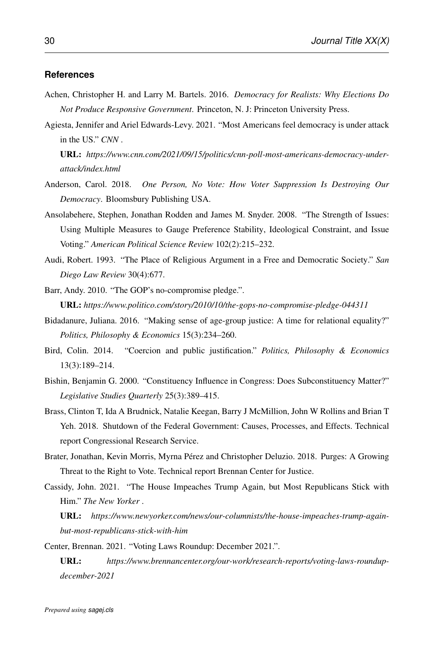#### **References**

- <span id="page-29-11"></span>Achen, Christopher H. and Larry M. Bartels. 2016. *Democracy for Realists: Why Elections Do Not Produce Responsive Government*. Princeton, N. J: Princeton University Press.
- <span id="page-29-6"></span>Agiesta, Jennifer and Ariel Edwards-Levy. 2021. "Most Americans feel democracy is under attack in the US." *CNN* .

URL: *https://www.cnn.com/2021/09/15/politics/cnn-poll-most-americans-democracy-underattack/index.html*

- <span id="page-29-2"></span>Anderson, Carol. 2018. *One Person, No Vote: How Voter Suppression Is Destroying Our Democracy*. Bloomsbury Publishing USA.
- <span id="page-29-12"></span>Ansolabehere, Stephen, Jonathan Rodden and James M. Snyder. 2008. "The Strength of Issues: Using Multiple Measures to Gauge Preference Stability, Ideological Constraint, and Issue Voting." *American Political Science Review* 102(2):215–232.
- <span id="page-29-7"></span>Audi, Robert. 1993. "The Place of Religious Argument in a Free and Democratic Society." *San Diego Law Review* 30(4):677.
- <span id="page-29-1"></span>Barr, Andy. 2010. "The GOP's no-compromise pledge.". URL: *https://www.politico.com/story/2010/10/the-gops-no-compromise-pledge-044311*
- <span id="page-29-10"></span>Bidadanure, Juliana. 2016. "Making sense of age-group justice: A time for relational equality?" *Politics, Philosophy & Economics* 15(3):234–260.
- <span id="page-29-8"></span>Bird, Colin. 2014. "Coercion and public justification." *Politics, Philosophy & Economics* 13(3):189–214.
- <span id="page-29-9"></span>Bishin, Benjamin G. 2000. "Constituency Influence in Congress: Does Subconstituency Matter?" *Legislative Studies Quarterly* 25(3):389–415.
- <span id="page-29-0"></span>Brass, Clinton T, Ida A Brudnick, Natalie Keegan, Barry J McMillion, John W Rollins and Brian T Yeh. 2018. Shutdown of the Federal Government: Causes, Processes, and Effects. Technical report Congressional Research Service.
- <span id="page-29-4"></span>Brater, Jonathan, Kevin Morris, Myrna Pérez and Christopher Deluzio. 2018. Purges: A Growing Threat to the Right to Vote. Technical report Brennan Center for Justice.
- <span id="page-29-5"></span>Cassidy, John. 2021. "The House Impeaches Trump Again, but Most Republicans Stick with Him." *The New Yorker* .

URL: *https://www.newyorker.com/news/our-columnists/the-house-impeaches-trump-againbut-most-republicans-stick-with-him*

<span id="page-29-3"></span>Center, Brennan. 2021. "Voting Laws Roundup: December 2021.".

URL: *https://www.brennancenter.org/our-work/research-reports/voting-laws-roundupdecember-2021*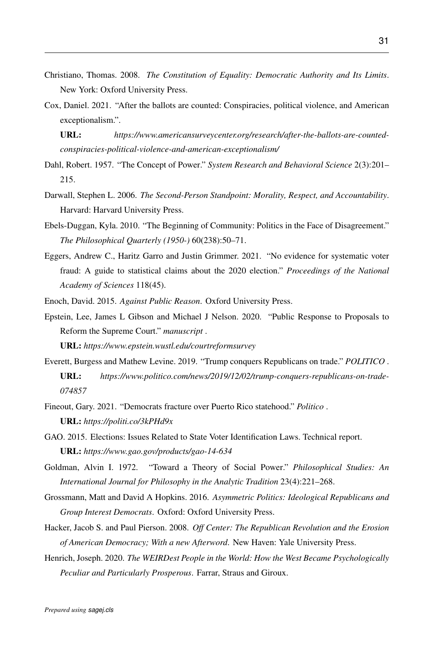- <span id="page-30-11"></span>Christiano, Thomas. 2008. *The Constitution of Equality: Democratic Authority and Its Limits*. New York: Oxford University Press.
- <span id="page-30-1"></span>Cox, Daniel. 2021. "After the ballots are counted: Conspiracies, political violence, and American exceptionalism.".

URL: *https://www.americansurveycenter.org/research/after-the-ballots-are-countedconspiracies-political-violence-and-american-exceptionalism/*

- <span id="page-30-14"></span>Dahl, Robert. 1957. "The Concept of Power." *System Research and Behavioral Science* 2(3):201– 215.
- <span id="page-30-13"></span>Darwall, Stephen L. 2006. *The Second-Person Standpoint: Morality, Respect, and Accountability*. Harvard: Harvard University Press.
- <span id="page-30-9"></span>Ebels-Duggan, Kyla. 2010. "The Beginning of Community: Politics in the Face of Disagreement." *The Philosophical Quarterly (1950-)* 60(238):50–71.
- <span id="page-30-5"></span>Eggers, Andrew C., Haritz Garro and Justin Grimmer. 2021. "No evidence for systematic voter fraud: A guide to statistical claims about the 2020 election." *Proceedings of the National Academy of Sciences* 118(45).

<span id="page-30-7"></span><span id="page-30-6"></span>Enoch, David. 2015. *Against Public Reason*. Oxford University Press.

Epstein, Lee, James L Gibson and Michael J Nelson. 2020. "Public Response to Proposals to Reform the Supreme Court." *manuscript* .

URL: *https://www.epstein.wustl.edu/courtreformsurvey*

- <span id="page-30-3"></span>Everett, Burgess and Mathew Levine. 2019. "Trump conquers Republicans on trade." *POLITICO* . URL: *https://www.politico.com/news/2019/12/02/trump-conquers-republicans-on-trade-074857*
- <span id="page-30-10"></span>Fineout, Gary. 2021. "Democrats fracture over Puerto Rico statehood." *Politico* . URL: *https://politi.co/3kPHd9x*
- <span id="page-30-4"></span>GAO. 2015. Elections: Issues Related to State Voter Identification Laws. Technical report. URL: *https://www.gao.gov/products/gao-14-634*
- <span id="page-30-12"></span>Goldman, Alvin I. 1972. "Toward a Theory of Social Power." *Philosophical Studies: An International Journal for Philosophy in the Analytic Tradition* 23(4):221–268.
- <span id="page-30-2"></span>Grossmann, Matt and David A Hopkins. 2016. *Asymmetric Politics: Ideological Republicans and Group Interest Democrats*. Oxford: Oxford University Press.
- <span id="page-30-0"></span>Hacker, Jacob S. and Paul Pierson. 2008. *Off Center: The Republican Revolution and the Erosion of American Democracy; With a new Afterword*. New Haven: Yale University Press.
- <span id="page-30-8"></span>Henrich, Joseph. 2020. *The WEIRDest People in the World: How the West Became Psychologically Peculiar and Particularly Prosperous*. Farrar, Straus and Giroux.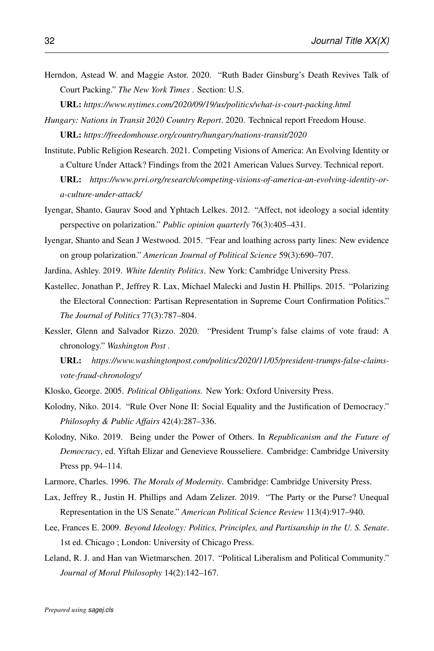<span id="page-31-10"></span>Herndon, Astead W. and Maggie Astor. 2020. "Ruth Bader Ginsburg's Death Revives Talk of Court Packing." *The New York Times* . Section: U.S.

URL: *https://www.nytimes.com/2020/09/19/us/politics/what-is-court-packing.html*

- <span id="page-31-3"></span>*Hungary: Nations in Transit 2020 Country Report*. 2020. Technical report Freedom House. URL: *https://freedomhouse.org/country/hungary/nations-transit/2020*
- <span id="page-31-6"></span>Institute, Public Religion Research. 2021. Competing Visions of America: An Evolving Identity or a Culture Under Attack? Findings from the 2021 American Values Survey. Technical report. URL: *https://www.prri.org/research/competing-visions-of-america-an-evolving-identity-ora-culture-under-attack/*
- <span id="page-31-0"></span>Iyengar, Shanto, Gaurav Sood and Yphtach Lelkes. 2012. "Affect, not ideology a social identity perspective on polarization." *Public opinion quarterly* 76(3):405–431.
- <span id="page-31-5"></span>Iyengar, Shanto and Sean J Westwood. 2015. "Fear and loathing across party lines: New evidence on group polarization." *American Journal of Political Science* 59(3):690–707.
- <span id="page-31-12"></span><span id="page-31-1"></span>Jardina, Ashley. 2019. *White Identity Politics*. New York: Cambridge University Press.
- Kastellec, Jonathan P., Jeffrey R. Lax, Michael Malecki and Justin H. Phillips. 2015. "Polarizing the Electoral Connection: Partisan Representation in Supreme Court Confirmation Politics." *The Journal of Politics* 77(3):787–804.
- <span id="page-31-2"></span>Kessler, Glenn and Salvador Rizzo. 2020. "President Trump's false claims of vote fraud: A chronology." *Washington Post* .
	- URL: *https://www.washingtonpost.com/politics/2020/11/05/president-trumps-false-claimsvote-fraud-chronology/*
- <span id="page-31-14"></span>Klosko, George. 2005. *Political Obligations*. New York: Oxford University Press.
- <span id="page-31-11"></span>Kolodny, Niko. 2014. "Rule Over None II: Social Equality and the Justification of Democracy." *Philosophy & Public Affairs* 42(4):287–336.
- <span id="page-31-9"></span>Kolodny, Niko. 2019. Being under the Power of Others. In *Republicanism and the Future of Democracy*, ed. Yiftah Elizar and Genevieve Rousseliere. Cambridge: Cambridge University Press pp. 94–114.
- <span id="page-31-8"></span>Larmore, Charles. 1996. *The Morals of Modernity*. Cambridge: Cambridge University Press.
- <span id="page-31-13"></span>Lax, Jeffrey R., Justin H. Phillips and Adam Zelizer. 2019. "The Party or the Purse? Unequal Representation in the US Senate." *American Political Science Review* 113(4):917–940.
- <span id="page-31-4"></span>Lee, Frances E. 2009. *Beyond Ideology: Politics, Principles, and Partisanship in the U. S. Senate*. 1st ed. Chicago ; London: University of Chicago Press.
- <span id="page-31-7"></span>Leland, R. J. and Han van Wietmarschen. 2017. "Political Liberalism and Political Community." *Journal of Moral Philosophy* 14(2):142–167.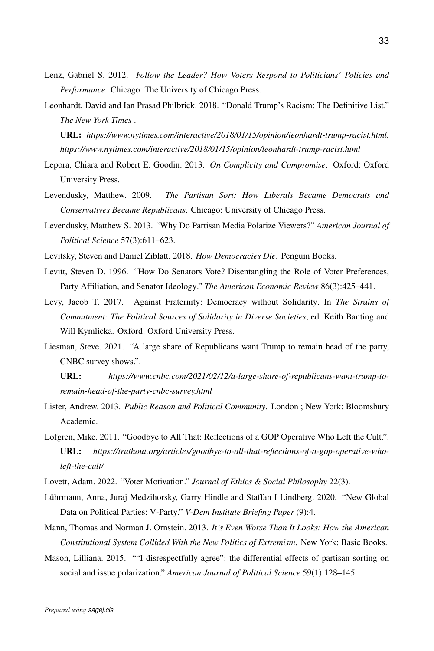- <span id="page-32-14"></span>Lenz, Gabriel S. 2012. *Follow the Leader? How Voters Respond to Politicians' Policies and Performance.* Chicago: The University of Chicago Press.
- <span id="page-32-2"></span>Leonhardt, David and Ian Prasad Philbrick. 2018. "Donald Trump's Racism: The Definitive List." *The New York Times* .

URL: *https://www.nytimes.com/interactive/2018/01/15/opinion/leonhardt-trump-racist.html, https://www.nytimes.com/interactive/2018/01/15/opinion/leonhardt-trump-racist.html*

- <span id="page-32-12"></span>Lepora, Chiara and Robert E. Goodin. 2013. *On Complicity and Compromise*. Oxford: Oxford University Press.
- <span id="page-32-9"></span>Levendusky, Matthew. 2009. *The Partisan Sort: How Liberals Became Democrats and Conservatives Became Republicans*. Chicago: University of Chicago Press.
- <span id="page-32-5"></span>Levendusky, Matthew S. 2013. "Why Do Partisan Media Polarize Viewers?" *American Journal of Political Science* 57(3):611–623.
- <span id="page-32-13"></span><span id="page-32-8"></span>Levitsky, Steven and Daniel Ziblatt. 2018. *How Democracies Die*. Penguin Books.
- Levitt, Steven D. 1996. "How Do Senators Vote? Disentangling the Role of Voter Preferences, Party Affiliation, and Senator Ideology." *The American Economic Review* 86(3):425–441.
- <span id="page-32-7"></span>Levy, Jacob T. 2017. Against Fraternity: Democracy without Solidarity. In *The Strains of Commitment: The Political Sources of Solidarity in Diverse Societies*, ed. Keith Banting and Will Kymlicka. Oxford: Oxford University Press.
- <span id="page-32-3"></span>Liesman, Steve. 2021. "A large share of Republicans want Trump to remain head of the party, CNBC survey shows.".
	- URL: *https://www.cnbc.com/2021/02/12/a-large-share-of-republicans-want-trump-toremain-head-of-the-party-cnbc-survey.html*
- <span id="page-32-10"></span>Lister, Andrew. 2013. *Public Reason and Political Community*. London ; New York: Bloomsbury Academic.
- <span id="page-32-1"></span>Lofgren, Mike. 2011. "Goodbye to All That: Reflections of a GOP Operative Who Left the Cult.". URL: *https://truthout.org/articles/goodbye-to-all-that-reflections-of-a-gop-operative-wholeft-the-cult/*
- <span id="page-32-11"></span>Lovett, Adam. 2022. "Voter Motivation." *Journal of Ethics & Social Philosophy* 22(3).
- <span id="page-32-6"></span>Lührmann, Anna, Juraj Medzihorsky, Garry Hindle and Staffan I Lindberg. 2020. "New Global Data on Political Parties: V-Party." *V-Dem Institute Briefing Paper* (9):4.
- <span id="page-32-0"></span>Mann, Thomas and Norman J. Ornstein. 2013. *It's Even Worse Than It Looks: How the American Constitutional System Collided With the New Politics of Extremism*. New York: Basic Books.
- <span id="page-32-4"></span>Mason, Lilliana. 2015. ""I disrespectfully agree": the differential effects of partisan sorting on social and issue polarization." *American Journal of Political Science* 59(1):128–145.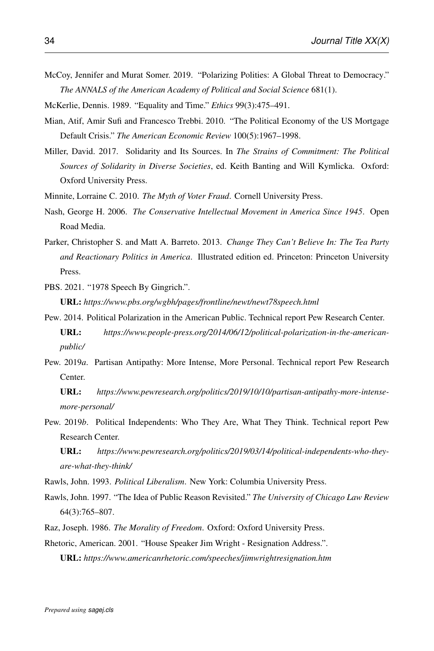- <span id="page-33-7"></span>McCoy, Jennifer and Murat Somer. 2019. "Polarizing Polities: A Global Threat to Democracy." *The ANNALS of the American Academy of Political and Social Science* 681(1).
- <span id="page-33-13"></span>McKerlie, Dennis. 1989. "Equality and Time." *Ethics* 99(3):475–491.
- <span id="page-33-8"></span>Mian, Atif, Amir Sufi and Francesco Trebbi. 2010. "The Political Economy of the US Mortgage Default Crisis." *The American Economic Review* 100(5):1967–1998.
- <span id="page-33-11"></span>Miller, David. 2017. Solidarity and Its Sources. In *The Strains of Commitment: The Political Sources of Solidarity in Diverse Societies*, ed. Keith Banting and Will Kymlicka. Oxford: Oxford University Press.
- <span id="page-33-6"></span>Minnite, Lorraine C. 2010. *The Myth of Voter Fraud*. Cornell University Press.
- <span id="page-33-3"></span>Nash, George H. 2006. *The Conservative Intellectual Movement in America Since 1945*. Open Road Media.
- <span id="page-33-5"></span>Parker, Christopher S. and Matt A. Barreto. 2013. *Change They Can't Believe In: The Tea Party and Reactionary Politics in America*. Illustrated edition ed. Princeton: Princeton University Press.
- <span id="page-33-0"></span>PBS. 2021. "1978 Speech By Gingrich.".

URL: *https://www.pbs.org/wgbh/pages/frontline/newt/newt78speech.html*

- <span id="page-33-2"></span>Pew. 2014. Political Polarization in the American Public. Technical report Pew Research Center. URL: *https://www.people-press.org/2014/06/12/political-polarization-in-the-americanpublic/*
- <span id="page-33-4"></span>Pew. 2019*a*. Partisan Antipathy: More Intense, More Personal. Technical report Pew Research Center.

URL: *https://www.pewresearch.org/politics/2019/10/10/partisan-antipathy-more-intensemore-personal/*

- <span id="page-33-12"></span>Pew. 2019*b*. Political Independents: Who They Are, What They Think. Technical report Pew Research Center.
	- URL: *https://www.pewresearch.org/politics/2019/03/14/political-independents-who-theyare-what-they-think/*
- <span id="page-33-9"></span>Rawls, John. 1993. *Political Liberalism*. New York: Columbia University Press.
- <span id="page-33-10"></span>Rawls, John. 1997. "The Idea of Public Reason Revisited." *The University of Chicago Law Review* 64(3):765–807.
- <span id="page-33-14"></span><span id="page-33-1"></span>Raz, Joseph. 1986. *The Morality of Freedom*. Oxford: Oxford University Press.

Rhetoric, American. 2001. "House Speaker Jim Wright - Resignation Address.".

URL: *https://www.americanrhetoric.com/speeches/jimwrightresignation.htm*